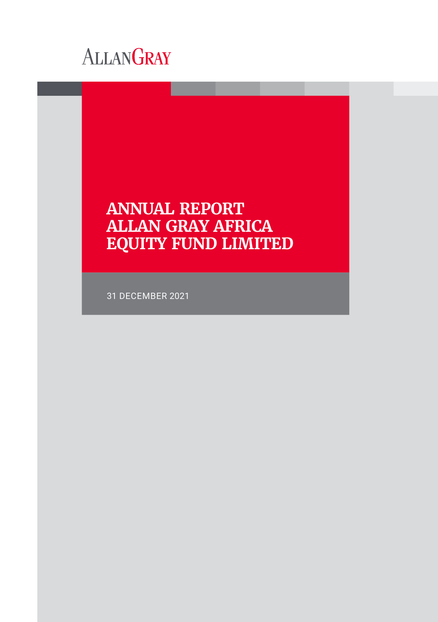

# **ANNUAL REPORT ALLAN GRAY AFRICA EQUITY FUND LIMITED**

31 DECEMBER 2021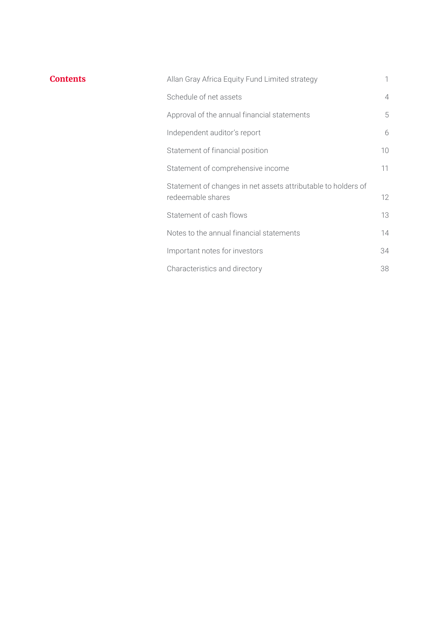| Contents | Allan Gray Africa Equity Fund Limited strategy                                     | 1              |
|----------|------------------------------------------------------------------------------------|----------------|
|          | Schedule of net assets                                                             | $\overline{4}$ |
|          | Approval of the annual financial statements                                        | 5              |
|          | Independent auditor's report                                                       | 6              |
|          | Statement of financial position                                                    | 10             |
|          | Statement of comprehensive income                                                  | 11             |
|          | Statement of changes in net assets attributable to holders of<br>redeemable shares | 12             |
|          | Statement of cash flows                                                            | 13             |
|          | Notes to the annual financial statements                                           | 14             |
|          | Important notes for investors                                                      | 34             |
|          | Characteristics and directory                                                      | 38             |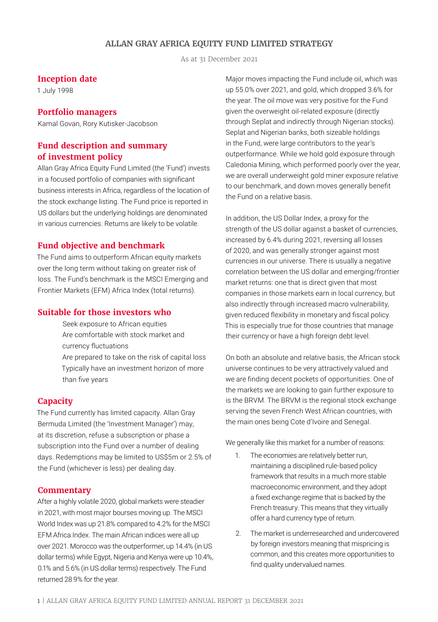### **ALLAN GRAY AFRICA EQUITY FUND LIMITED STRATEGY**

As at 31 December 2021

#### **Inception date**

1 July 1998

#### **Portfolio managers**

Kamal Govan, Rory Kutisker-Jacobson

### **Fund description and summary of investment policy**

Allan Gray Africa Equity Fund Limited (the 'Fund') invests in a focused portfolio of companies with significant business interests in Africa, regardless of the location of the stock exchange listing. The Fund price is reported in US dollars but the underlying holdings are denominated in various currencies. Returns are likely to be volatile.

### **Fund objective and benchmark**

The Fund aims to outperform African equity markets over the long term without taking on greater risk of loss. The Fund's benchmark is the MSCI Emerging and Frontier Markets (EFM) Africa Index (total returns).

#### **Suitable for those investors who**

Seek exposure to African equities Are comfortable with stock market and currency fluctuations Are prepared to take on the risk of capital loss Typically have an investment horizon of more than five years

### **Capacity**

The Fund currently has limited capacity. Allan Gray Bermuda Limited (the 'Investment Manager') may, at its discretion, refuse a subscription or phase a subscription into the Fund over a number of dealing days. Redemptions may be limited to US\$5m or 2.5% of the Fund (whichever is less) per dealing day.

#### **Commentary**

After a highly volatile 2020, global markets were steadier in 2021, with most major bourses moving up. The MSCI World Index was up 21.8% compared to 4.2% for the MSCI EFM Africa Index. The main African indices were all up over 2021. Morocco was the outperformer, up 14.4% (in US dollar terms) while Egypt, Nigeria and Kenya were up 10.4%, 0.1% and 5.6% (in US dollar terms) respectively. The Fund returned 28.9% for the year.

Major moves impacting the Fund include oil, which was up 55.0% over 2021, and gold, which dropped 3.6% for the year. The oil move was very positive for the Fund given the overweight oil-related exposure (directly through Seplat and indirectly through Nigerian stocks). Seplat and Nigerian banks, both sizeable holdings in the Fund, were large contributors to the year's outperformance. While we hold gold exposure through Caledonia Mining, which performed poorly over the year, we are overall underweight gold miner exposure relative to our benchmark, and down moves generally benefit the Fund on a relative basis.

In addition, the US Dollar Index, a proxy for the strength of the US dollar against a basket of currencies, increased by 6.4% during 2021, reversing all losses of 2020, and was generally stronger against most currencies in our universe. There is usually a negative correlation between the US dollar and emerging/frontier market returns: one that is direct given that most companies in those markets earn in local currency, but also indirectly through increased macro vulnerability, given reduced flexibility in monetary and fiscal policy. This is especially true for those countries that manage their currency or have a high foreign debt level.

On both an absolute and relative basis, the African stock universe continues to be very attractively valued and we are finding decent pockets of opportunities. One of the markets we are looking to gain further exposure to is the BRVM. The BRVM is the regional stock exchange serving the seven French West African countries, with the main ones being Cote d'Ivoire and Senegal.

We generally like this market for a number of reasons:

- 1. The economies are relatively better run, maintaining a disciplined rule-based policy framework that results in a much more stable macroeconomic environment, and they adopt a fixed exchange regime that is backed by the French treasury. This means that they virtually offer a hard currency type of return.
- 2. The market is underresearched and undercovered by foreign investors meaning that mispricing is common, and this creates more opportunities to find quality undervalued names.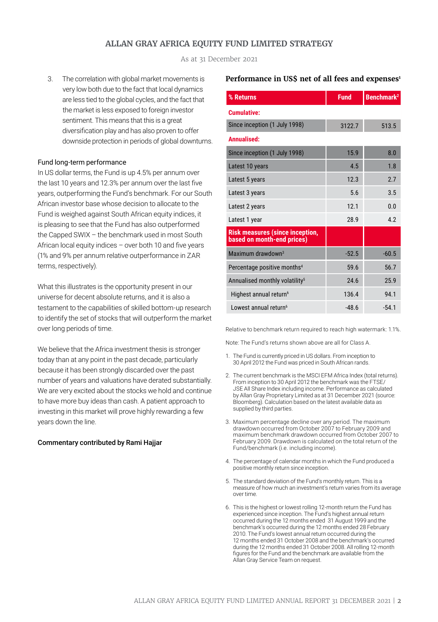### **ALLAN GRAY AFRICA EQUITY FUND LIMITED STRATEGY**

As at 31 December 2021

3. The correlation with global market movements is very low both due to the fact that local dynamics are less tied to the global cycles, and the fact that the market is less exposed to foreign investor sentiment. This means that this is a great diversification play and has also proven to offer downside protection in periods of global downturns.

#### Fund long-term performance

In US dollar terms, the Fund is up 4.5% per annum over the last 10 years and 12.3% per annum over the last five years, outperforming the Fund's benchmark. For our South African investor base whose decision to allocate to the Fund is weighed against South African equity indices, it is pleasing to see that the Fund has also outperformed the Capped SWIX – the benchmark used in most South African local equity indices – over both 10 and five years (1% and 9% per annum relative outperformance in ZAR terms, respectively).

What this illustrates is the opportunity present in our universe for decent absolute returns, and it is also a testament to the capabilities of skilled bottom-up research to identify the set of stocks that will outperform the market over long periods of time.

We believe that the Africa investment thesis is stronger today than at any point in the past decade, particularly because it has been strongly discarded over the past number of years and valuations have derated substantially. We are very excited about the stocks we hold and continue to have more buy ideas than cash. A patient approach to investing in this market will prove highly rewarding a few years down the line.

#### Commentary contributed by Rami Hajjar

### Performance in US\$ net of all fees and expenses<sup>1</sup>

| % Returns                                                            | <b>Fund</b> | Benchmark <sup>2</sup> |
|----------------------------------------------------------------------|-------------|------------------------|
| <b>Cumulative:</b>                                                   |             |                        |
| Since inception (1 July 1998)                                        | 3122.7      | 513.5                  |
| Annualised:                                                          |             |                        |
| Since inception (1 July 1998)                                        | 15.9        | 8.0                    |
| Latest 10 years                                                      | 4.5         | 1.8                    |
| Latest 5 years                                                       | 12.3        | 2.7                    |
| Latest 3 years                                                       | 5.6         | 3.5                    |
| Latest 2 years                                                       | 12.1        | 0.0                    |
| Latest 1 year                                                        | 28.9        | 4.2                    |
| <b>Risk measures (since inception,</b><br>based on month-end prices) |             |                        |
| Maximum drawdown $3$                                                 | $-52.5$     | $-60.5$                |
| Percentage positive months <sup>4</sup>                              | 59.6        | 56.7                   |
| Annualised monthly volatility <sup>5</sup>                           | 24.6        | 25.9                   |
| Highest annual return <sup>6</sup>                                   | 136.4       | 94.1                   |
| Lowest annual return <sup>6</sup>                                    | $-48.6$     | $-54.1$                |

Relative to benchmark return required to reach high watermark: 1.1%.

Note: The Fund's returns shown above are all for Class A.

- 1. The Fund is currently priced in US dollars. From inception to 30 April 2012 the Fund was priced in South African rands.
- 2. The current benchmark is the MSCI EFM Africa Index (total returns). From inception to 30 Aprilꢀ2012 the benchmark was the FTSE/ JSE All Share Index including income. Performance as calculated by Allan Gray Proprietary Limited as at 31 December 2021 (source: Bloomberg). Calculation based on the latest available data as supplied by third parties.
- 3. Maximum percentage decline over any period. The maximum drawdown occurred from October 2007 to February 2009 and maximum benchmark drawdown occurred from October 2007 to February 2009. Drawdown is calculated on the total return of the Fund/benchmark (i.e. including income).
- 4. The percentage of calendar months in which the Fund produced a positive monthly return since inception.
- 5. The standard deviation of the Fund's monthly return. This is a measure of how much an investment's return varies from its average over time.
- 6. This is the highest or lowest rolling 12-month return the Fund has experienced since inception. The Fund's highest annual return occurred during the 12 months ended 31 August 1999 and the benchmark's occurred during the 12 months ended 28 February 2010. The Fund's lowest annual return occurred during the 12 months ended 31 October 2008 and the benchmark's occurred during the 12 months ended 31 October 2008. All rolling 12-month figures for the Fund and the benchmark are available from the Allan Gray Service Team on request.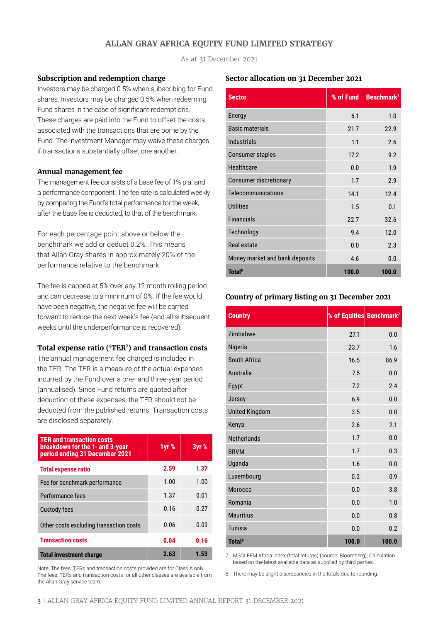### **ALLAN GRAY AFRICA EQUITY FUND LIMITED STRATEGY**

As at 31 December 2021

#### **Subscription and redemption charge**

Investors may be charged 0.5% when subscribing for Fund shares. Investors may be charged 0.5% when redeeming Fund shares in the case of significant redemptions. These charges are paid into the Fund to offset the costs associated with the transactions that are borne by the Fund. The Investment Manager may waive these charges if transactions substantially offset one another.

#### **Annual management fee**

The management fee consists of a base fee of 1% p.a. and a performance component. The fee rate is calculated weekly by comparing the Fund's total performance for the week, after the base fee is deducted, to that of the benchmark.

For each percentage point above or below the benchmark we add or deduct 0.2%. This means that AllanꢀGray shares in approximately 20% of the performance relative to the benchmark.

The fee is capped at 5% over any 12 month rolling period and can decrease to a minimum of 0%. If the fee would have been negative, the negative fee will be carried forward to reduce the next week's fee (and all subsequent weeks until the underperformance is recovered).

#### **Total expense ratio ('TER') and transaction costs**

The annual management fee charged is included in the TER. The TER is a measure of the actual expenses incurred by the Fund over a one- and three-year period (annualised). Since Fund returns are quoted after deduction of these expenses, the TER should not be deducted from the published returns. Transaction costs are disclosed separately.

| <b>TER and transaction costs</b><br>breakdown for the 1- and 3-year<br>period ending 31 December 2021 | 1yr % | 3yr % |
|-------------------------------------------------------------------------------------------------------|-------|-------|
| <b>Total expense ratio</b>                                                                            | 2.59  | 1.37  |
| Fee for benchmark performance                                                                         | 1.00  | 1.00  |
| Performance fees                                                                                      | 1.37  | 0.01  |
| <b>Custody fees</b>                                                                                   | 0.16  | 0.27  |
| Other costs excluding transaction costs                                                               | 0.06  | 0.09  |
| <b>Transaction costs</b>                                                                              | 0.04  | 0.16  |
| <b>Total investment charge</b>                                                                        | 2.63  | 1.53  |

Note: The fees, TERs and transaction costs provided are for Class A only. The fees, TERs and transaction costs for all other classes are available from the Allan Gray service team.

#### **Sector allocation on 31 December 2021**

| <b>Sector</b>                  | % of Fund | Benchmark <sup>7</sup> |
|--------------------------------|-----------|------------------------|
| Energy                         | 6.1       | 1.0                    |
| <b>Basic materials</b>         | 21.7      | 22.9                   |
| Industrials                    | 1.1       | 2.6                    |
| Consumer staples               | 17.2      | 9.2                    |
| Healthcare                     | 0.0       | 1.9                    |
| Consumer discretionary         | 1.7       | 2.9                    |
| Telecommunications             | 14.1      | 12.4                   |
| <b>Utilities</b>               | 1.5       | 0.1                    |
| <b>Financials</b>              | 22.7      | 32.6                   |
| Technology                     | 9.4       | 12.0                   |
| Real estate                    | 0.0       | 2.3                    |
| Money market and bank deposits | 4.6       | 0.0                    |
| <b>Total</b> <sup>8</sup>      | 100.0     | 100.0                  |

#### **Country of primary listing on 31 December 2021**

| <b>Country</b>            | % of Equities Benchmark <sup>7</sup> |       |
|---------------------------|--------------------------------------|-------|
| Zimbabwe                  | 27.1                                 | 0.0   |
| Nigeria                   | 23.7                                 | 1.6   |
| South Africa              | 16.5                                 | 86.9  |
| Australia                 | 7.5                                  | 0.0   |
| Egypt                     | 7.2                                  | 2.4   |
| Jersey                    | 6.9                                  | 0.0   |
| <b>United Kingdom</b>     | 3.5                                  | 0.0   |
| Kenya                     | 2.6                                  | 2.1   |
| <b>Netherlands</b>        | 1.7                                  | 0.0   |
| <b>BRVM</b>               | 1.7                                  | 0.3   |
| Uganda                    | 1.6                                  | 0.0   |
| Luxembourg                | 0.2                                  | 0.9   |
| Morocco                   | 0.0                                  | 3.8   |
| Romania                   | 0.0                                  | 1.0   |
| <b>Mauritius</b>          | 0.0                                  | 0.8   |
| <b>Tunisia</b>            | 0.0                                  | 0.2   |
| <b>Total</b> <sup>8</sup> | 100.0                                | 100.0 |

7. MSCI EFM Africa Index (total returns) (source: Bloomberg). Calculation based on the latest available data as supplied by third parties.

8. There may be slight discrepancies in the totals due to rounding.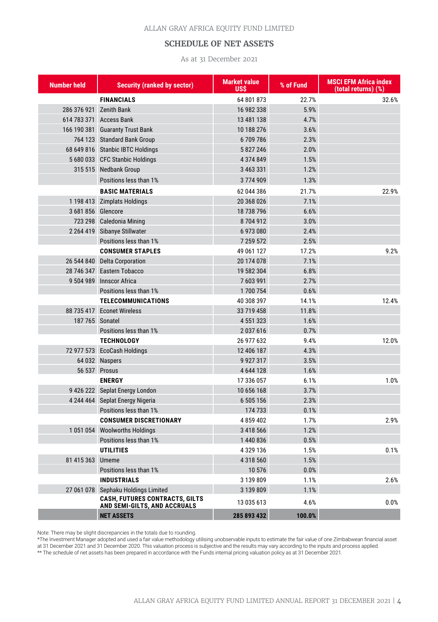### ALLAN GRAY AFRICA EQUITY FUND LIMITED

### **SCHEDULE OF NET ASSETS**

As at 31 December 2021

| <b>Number held</b>      | <b>Security (ranked by sector)</b>                                    | <b>Market value</b><br>USŚ | % of Fund | <b>MSCI EFM Africa index</b><br>(total returns) (%) |
|-------------------------|-----------------------------------------------------------------------|----------------------------|-----------|-----------------------------------------------------|
|                         | <b>FINANCIALS</b>                                                     | 64 801 873                 | 22.7%     | 32.6%                                               |
| 286 376 921 Zenith Bank |                                                                       | 16 982 338                 | 5.9%      |                                                     |
|                         | 614 783 371 Access Bank                                               | 13 481 138                 | 4.7%      |                                                     |
|                         | 166 190 381 Guaranty Trust Bank                                       | 10 188 276                 | 3.6%      |                                                     |
|                         | 764 123 Standard Bank Group                                           | 6709786                    | 2.3%      |                                                     |
|                         | 68 649 816 Stanbic IBTC Holdings                                      | 5 827 246                  | 2.0%      |                                                     |
|                         | 5 680 033 CFC Stanbic Holdings                                        | 4 374 849                  | 1.5%      |                                                     |
|                         | 315 515 Nedbank Group                                                 | 3 463 331                  | 1.2%      |                                                     |
|                         | Positions less than 1%                                                | 3774909                    | 1.3%      |                                                     |
|                         | <b>BASIC MATERIALS</b>                                                | 62 044 386                 | 21.7%     | 22.9%                                               |
|                         | 1 198 413 Zimplats Holdings                                           | 20 368 026                 | 7.1%      |                                                     |
| 3 681 856 Glencore      |                                                                       | 18 738 796                 | 6.6%      |                                                     |
|                         | 723 298 Caledonia Mining                                              | 8704912                    | 3.0%      |                                                     |
|                         | 2 264 419 Sibanye Stillwater                                          | 6 973 080                  | 2.4%      |                                                     |
|                         | Positions less than 1%                                                | 7 259 572                  | 2.5%      |                                                     |
|                         | <b>CONSUMER STAPLES</b>                                               | 49 061 127                 | 17.2%     | 9.2%                                                |
|                         | 26 544 840 Delta Corporation                                          | 20 174 078                 | 7.1%      |                                                     |
|                         | 28 746 347 Eastern Tobacco                                            | 19 582 304                 | 6.8%      |                                                     |
|                         | 9 504 989 Innscor Africa                                              | 7 603 991                  | 2.7%      |                                                     |
|                         | Positions less than 1%                                                | 1700754                    | 0.6%      |                                                     |
|                         | <b>TELECOMMUNICATIONS</b>                                             | 40 308 397                 | 14.1%     | 12.4%                                               |
|                         | 88 735 417 Econet Wireless                                            | 33 719 458                 | 11.8%     |                                                     |
| 187 765 Sonatel         |                                                                       | 4 5 5 1 3 2 3              | 1.6%      |                                                     |
|                         | Positions less than 1%                                                | 2 037 616                  | 0.7%      |                                                     |
|                         | <b>TECHNOLOGY</b>                                                     | 26 977 632                 | 9.4%      | 12.0%                                               |
|                         | 72 977 573 EcoCash Holdings                                           | 12 406 187                 | 4.3%      |                                                     |
|                         | 64 032 Naspers                                                        | 9 9 2 7 3 1 7              | 3.5%      |                                                     |
|                         | 56 537 Prosus                                                         | 4 644 128                  | 1.6%      |                                                     |
|                         | <b>ENERGY</b>                                                         | 17 336 057                 | 6.1%      | 1.0%                                                |
|                         | 9 426 222 Seplat Energy London                                        | 10 656 168                 | 3.7%      |                                                     |
|                         | 4 244 464 Seplat Energy Nigeria                                       | 6 505 156                  | 2.3%      |                                                     |
|                         | Positions less than 1%                                                | 174733                     | 0.1%      |                                                     |
|                         | <b>CONSUMER DISCRETIONARY</b>                                         | 4 859 402                  | 1.7%      | 2.9%                                                |
|                         | 1051054 Woolworths Holdings                                           | 3 418 566                  | 1.2%      |                                                     |
|                         | Positions less than 1%                                                | 1440836                    | 0.5%      |                                                     |
|                         | <b>UTILITIES</b>                                                      | 4 329 136                  | 1.5%      | 0.1%                                                |
| 81 415 363 Umeme        |                                                                       | 4 318 560                  | 1.5%      |                                                     |
|                         | Positions less than 1%                                                | 10 576                     | 0.0%      |                                                     |
|                         | <b>INDUSTRIALS</b>                                                    | 3 139 809                  | 1.1%      | 2.6%                                                |
|                         | 27 061 078 Sephaku Holdings Limited                                   | 3 139 809                  | 1.1%      |                                                     |
|                         | <b>CASH. FUTURES CONTRACTS. GILTS</b><br>AND SEMI-GILTS, AND ACCRUALS | 13 035 613                 | 4.6%      | 0.0%                                                |
|                         | <b>NET ASSETS</b>                                                     | 285 893 432                | 100.0%    |                                                     |

Note: There may be slight discrepancies in the totals due to rounding.

\*The Investment Manager adopted and used a fair value methodology utilising unobservable inputs to estimate the fair value of one Zimbabwean financial asset<br>at 31 December 2021 and 31 December 2020. This valuation process

\*\* The schedule of net assets has been prepared in accordance with the Funds internal pricing valuation policy as at 31 December 2021.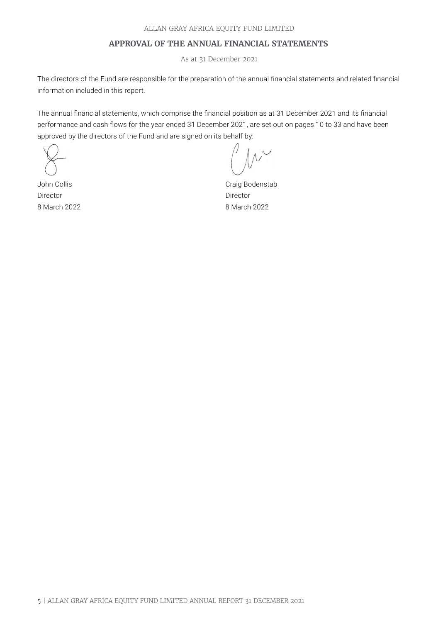### **APPROVAL OF THE ANNUAL FINANCIAL STATEMENTS**

As at 31 December 2021

The directors of the Fund are responsible for the preparation of the annual financial statements and related financial information included in this report.

The annual financial statements, which comprise the financial position as at 31 December 2021 and its financial performance and cash flows for the year ended 31 December 2021, are set out on pages 10 to 33 and have been approved by the directors of the Fund and are signed on its behalf by:

John Collis Director 8 March 2022

Craig Bodenstab Director 8 March 2022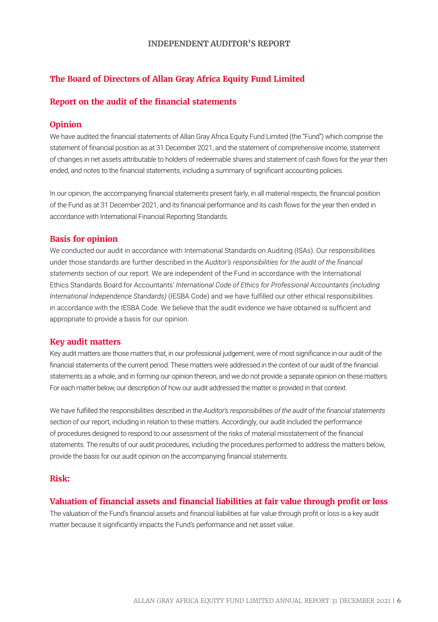### **The Board of Directors of Allan Gray Africa Equity Fund Limited**

### **Report on the audit of the financial statements**

### **Opinion**

We have audited the financial statements of Allan Gray Africa Equity Fund Limited (the "Fund") which comprise the statement of financial position as at 31 December 2021, and the statement of comprehensive income, statement of changes in net assets attributable to holders of redeemable shares and statement of cash flows for the year then ended, and notes to the financial statements, including a summary of significant accounting policies.

In our opinion, the accompanying financial statements present fairly, in all material respects, the financial position of the Fund as at 31 December 2021, and its financial performance and its cash flows for the year then ended in accordance with International Financial Reporting Standards.

### **Basis for opinion**

We conducted our audit in accordance with International Standards on Auditing (ISAs). Our responsibilities under those standards are further described in the *Auditor's responsibilities for the audit of the financial statements* section of our report. We are independent of the Fund in accordance with the International Ethics Standards Board for Accountants' *International Code of Ethics for Professional Accountants (including International Independence Standards)* (IESBA Code) and we have fulfilled our other ethical responsibilities in accordance with the IESBA Code. We believe that the audit evidence we have obtained is sufficient and appropriate to provide a basis for our opinion.

### **Key audit matters**

Key audit matters are those matters that, in our professional judgement, were of most significance in our audit of the financial statements of the current period. These matters were addressed in the context of our audit of the financial statements as a whole, and in forming our opinion thereon, and we do not provide a separate opinion on these matters. For each matter below, our description of how our audit addressed the matter is provided in that context.

We have fulfilled the responsibilities described in the *Auditor's responsibilities of the audit of the financial statements* section of our report, including in relation to these matters. Accordingly, our audit included the performance of procedures designed to respond to our assessment of the risks of material misstatement of the financial statements. The results of our audit procedures, including the procedures performed to address the matters below, provide the basis for our audit opinion on the accompanying financial statements.

### **Risk:**

### **Valuation of financial assets and financial liabilities at fair value through profit or loss**

The valuation of the Fund's financial assets and financial liabilities at fair value through profit or loss is a key audit matter because it significantly impacts the Fund's performance and net asset value.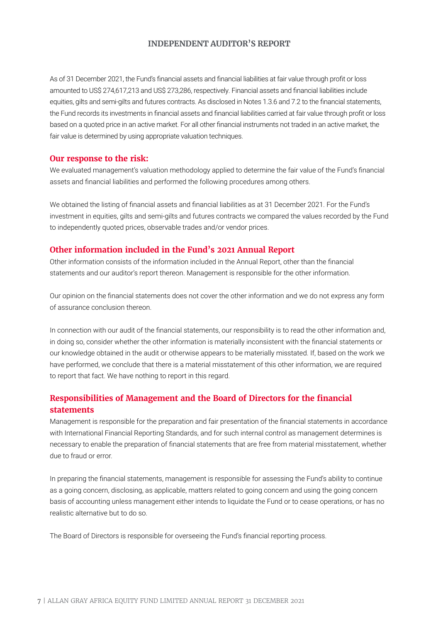As of 31 December 2021, the Fund's financial assets and financial liabilities at fair value through profit or loss amounted to US\$ 274,617,213 and US\$ 273,286, respectively. Financial assets and financial liabilities include equities, gilts and semi-gilts and futures contracts. As disclosed in Notes 1.3.6 and 7.2 to the financial statements, the Fund records its investments in financial assets and financial liabilities carried at fair value through profit or loss based on a quoted price in an active market. For all other financial instruments not traded in an active market, the fair value is determined by using appropriate valuation techniques.

#### **Our response to the risk:**

We evaluated management's valuation methodology applied to determine the fair value of the Fund's financial assets and financial liabilities and performed the following procedures among others.

We obtained the listing of financial assets and financial liabilities as at 31 December 2021. For the Fund's investment in equities, gilts and semi-gilts and futures contracts we compared the values recorded by the Fund to independently quoted prices, observable trades and/or vendor prices.

### **Other information included in the Fund's 2021 Annual Report**

Other information consists of the information included in the Annual Report, other than the financial statements and our auditor's report thereon. Management is responsible for the other information.

Our opinion on the financial statements does not cover the other information and we do not express any form of assurance conclusion thereon.

In connection with our audit of the financial statements, our responsibility is to read the other information and, in doing so, consider whether the other information is materially inconsistent with the financial statements or our knowledge obtained in the audit or otherwise appears to be materially misstated. If, based on the work we have performed, we conclude that there is a material misstatement of this other information, we are required to report that fact. We have nothing to report in this regard.

### **Responsibilities of Management and the Board of Directors for the financial statements**

Management is responsible for the preparation and fair presentation of the financial statements in accordance with International Financial Reporting Standards, and for such internal control as management determines is necessary to enable the preparation of financial statements that are free from material misstatement, whether due to fraud or error.

In preparing the financial statements, management is responsible for assessing the Fund's ability to continue as a going concern, disclosing, as applicable, matters related to going concern and using the going concern basis of accounting unless management either intends to liquidate the Fund or to cease operations, or has no realistic alternative but to do so.

The Board of Directors is responsible for overseeing the Fund's financial reporting process.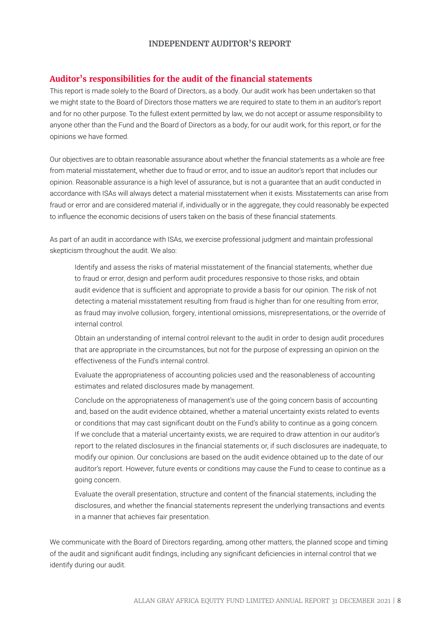#### **Auditor's responsibilities for the audit of the financial statements**

This report is made solely to the Board of Directors, as a body. Our audit work has been undertaken so that we might state to the Board of Directors those matters we are required to state to them in an auditor's report and for no other purpose. To the fullest extent permitted by law, we do not accept or assume responsibility to anyone other than the Fund and the Board of Directors as a body, for our audit work, for this report, or for the opinions we have formed.

Our objectives are to obtain reasonable assurance about whether the financial statements as a whole are free from material misstatement, whether due to fraud or error, and to issue an auditor's report that includes our opinion. Reasonable assurance is a high level of assurance, but is not a guarantee that an audit conducted in accordance with ISAs will always detect a material misstatement when it exists. Misstatements can arise from fraud or error and are considered material if, individually or in the aggregate, they could reasonably be expected to influence the economic decisions of users taken on the basis of these financial statements.

As part of an audit in accordance with ISAs, we exercise professional judgment and maintain professional skepticism throughout the audit. We also:

Identify and assess the risks of material misstatement of the financial statements, whether due to fraud or error, design and perform audit procedures responsive to those risks, and obtain audit evidence that is sufficient and appropriate to provide a basis for our opinion. The risk of not detecting a material misstatement resulting from fraud is higher than for one resulting from error, as fraud may involve collusion, forgery, intentional omissions, misrepresentations, or the override of internal control.

Obtain an understanding of internal control relevant to the audit in order to design audit procedures that are appropriate in the circumstances, but not for the purpose of expressing an opinion on the effectiveness of the Fund's internal control.

Evaluate the appropriateness of accounting policies used and the reasonableness of accounting estimates and related disclosures made by management.

Conclude on the appropriateness of management's use of the going concern basis of accounting and, based on the audit evidence obtained, whether a material uncertainty exists related to events or conditions that may cast significant doubt on the Fund's ability to continue as a going concern. If we conclude that a material uncertainty exists, we are required to draw attention in our auditor's report to the related disclosures in the financial statements or, if such disclosures are inadequate, to modify our opinion. Our conclusions are based on the audit evidence obtained up to the date of our auditor's report. However, future events or conditions may cause the Fund to cease to continue as a going concern.

Evaluate the overall presentation, structure and content of the financial statements, including the disclosures, and whether the financial statements represent the underlying transactions and events in a manner that achieves fair presentation.

We communicate with the Board of Directors regarding, among other matters, the planned scope and timing of the audit and significant audit findings, including any significant deficiencies in internal control that we identify during our audit.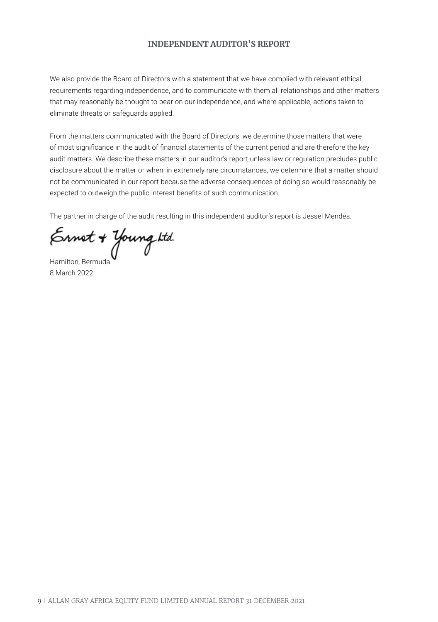We also provide the Board of Directors with a statement that we have complied with relevant ethical requirements regarding independence, and to communicate with them all relationships and other matters that may reasonably be thought to bear on our independence, and where applicable, actions taken to eliminate threats or safeguards applied.

From the matters communicated with the Board of Directors, we determine those matters that were of most significance in the audit of financial statements of the current period and are therefore the key audit matters. We describe these matters in our auditor's report unless law or regulation precludes public disclosure about the matter or when, in extremely rare circumstances, we determine that a matter should not be communicated in our report because the adverse consequences of doing so would reasonably be expected to outweigh the public interest benefits of such communication.

The partner in charge of the audit resulting in this independent auditor's report is Jessel Mendes.

Ernet + Young Ltd.<br>Hamilton, Bermuda

8 March 2022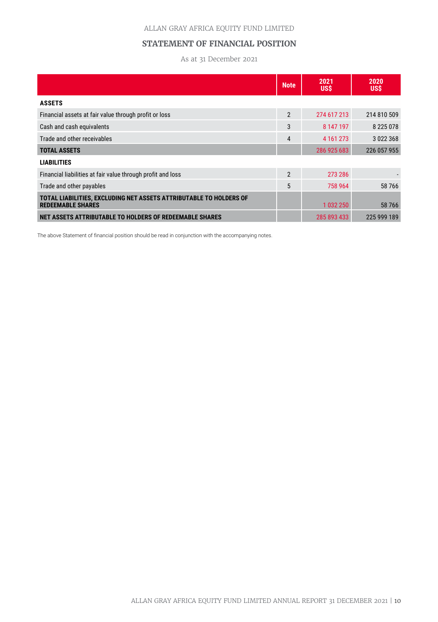### **STATEMENT OF FINANCIAL POSITION**

As at 31 December 2021

|                                                                                                | <b>Note</b>    | 2021<br>US\$ | 2020<br>US\$  |
|------------------------------------------------------------------------------------------------|----------------|--------------|---------------|
| <b>ASSETS</b>                                                                                  |                |              |               |
| Financial assets at fair value through profit or loss                                          | $\mathfrak{p}$ | 274 617 213  | 214 810 509   |
| Cash and cash equivalents                                                                      | 3              | 8 147 197    | 8 2 2 5 0 7 8 |
| Trade and other receivables                                                                    | $\overline{4}$ | 4 161 273    | 3 022 368     |
| <b>TOTAL ASSETS</b>                                                                            |                | 286 925 683  | 226 057 955   |
| <b>LIABILITIES</b>                                                                             |                |              |               |
| Financial liabilities at fair value through profit and loss                                    | $\mathfrak{p}$ | 273 286      |               |
| Trade and other payables                                                                       | 5              | 758 964      | 58 766        |
| TOTAL LIABILITIES, EXCLUDING NET ASSETS ATTRIBUTABLE TO HOLDERS OF<br><b>REDEEMABLE SHARES</b> |                | 1 032 250    | 58 766        |
| NET ASSETS ATTRIBUTABLE TO HOLDERS OF REDEEMABLE SHARES                                        |                | 285 893 433  | 225 999 189   |

The above Statement of financial position should be read in conjunction with the accompanying notes.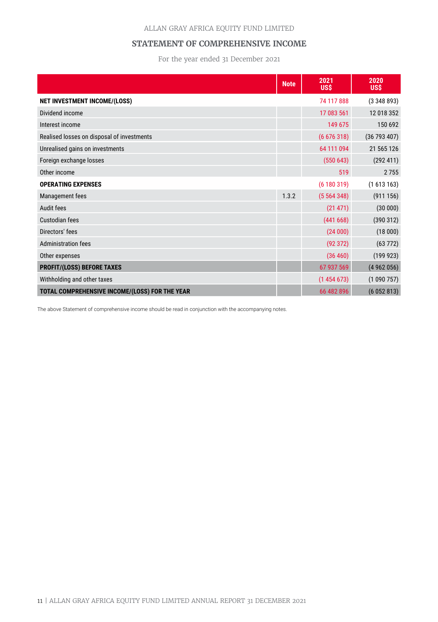#### ALLAN GRAY AFRICA EQUITY FUND LIMITED

### **STATEMENT OF COMPREHENSIVE INCOME**

For the year ended 31 December 2021

|                                                | <b>Note</b> | 2021<br><b>US\$</b> | 2020<br><b>US\$</b> |
|------------------------------------------------|-------------|---------------------|---------------------|
| <b>NET INVESTMENT INCOME/(LOSS)</b>            |             | 74 117 888          | (3348893)           |
| Dividend income                                |             | 17 083 561          | 12 018 352          |
| Interest income                                |             | 149 675             | 150 692             |
| Realised losses on disposal of investments     |             | (6676318)           | (36793407)          |
| Unrealised gains on investments                |             | 64 111 094          | 21 565 126          |
| Foreign exchange losses                        |             | (550643)            | (292 411)           |
| Other income                                   |             | 519                 | 2755                |
| <b>OPERATING EXPENSES</b>                      |             | (6180319)           | (1613163)           |
| Management fees                                | 1.3.2       | (5564348)           | (911156)            |
| Audit fees                                     |             | (21 471)            | (30000)             |
| Custodian fees                                 |             | (441668)            | (390312)            |
| Directors' fees                                |             | (24000)             | (18000)             |
| <b>Administration fees</b>                     |             | (92372)             | (63772)             |
| Other expenses                                 |             | (36 460)            | (199923)            |
| <b>PROFIT/(LOSS) BEFORE TAXES</b>              |             | 67 937 569          | (4962056)           |
| Withholding and other taxes                    |             | (1454673)           | (1090757)           |
| TOTAL COMPREHENSIVE INCOME/(LOSS) FOR THE YEAR |             | 66 482 896          | (6052813)           |

The above Statement of comprehensive income should be read in conjunction with the accompanying notes.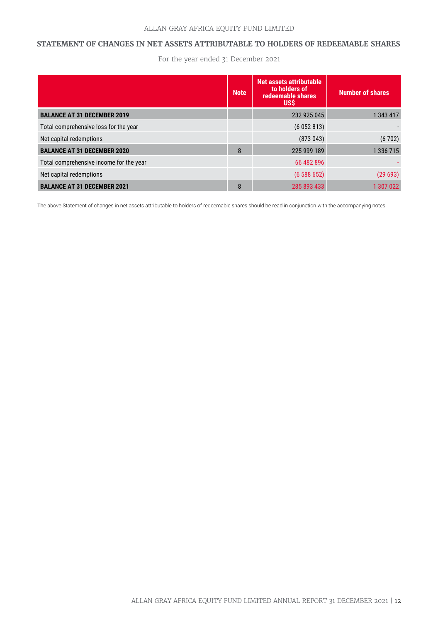#### **STATEMENT OF CHANGES IN NET ASSETS ATTRIBUTABLE TO HOLDERS OF REDEEMABLE SHARES**

For the year ended 31 December 2021

|                                         | <b>Note</b> | Net assets attributable<br>to holders of<br>redeemable shares<br><b>USS</b> | <b>Number of shares</b> |
|-----------------------------------------|-------------|-----------------------------------------------------------------------------|-------------------------|
| <b>BALANCE AT 31 DECEMBER 2019</b>      |             | 232 925 045                                                                 | 1 343 417               |
| Total comprehensive loss for the year   |             | (6052813)                                                                   |                         |
| Net capital redemptions                 |             | (873043)                                                                    | (6702)                  |
| <b>BALANCE AT 31 DECEMBER 2020</b>      | 8           | 225 999 189                                                                 | 1 336 715               |
| Total comprehensive income for the year |             | 66 482 896                                                                  |                         |
| Net capital redemptions                 |             | (6588652)                                                                   | (29693)                 |
| <b>BALANCE AT 31 DECEMBER 2021</b>      | 8           | 285 893 433                                                                 | 1 307 022               |

The above Statement of changes in net assets attributable to holders of redeemable shares should be read in conjunction with the accompanying notes.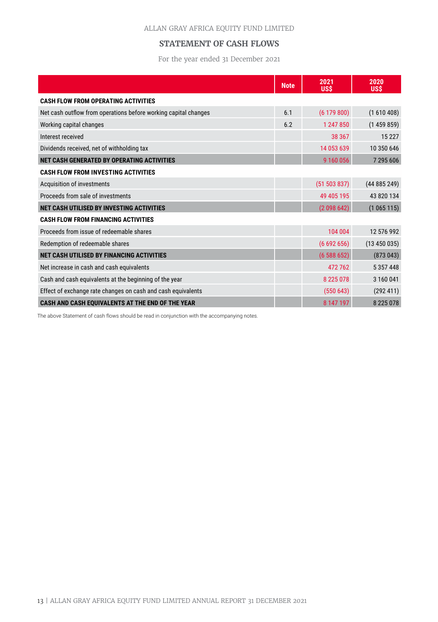#### ALLAN GRAY AFRICA EQUITY FUND LIMITED

### **STATEMENT OF CASH FLOWS**

For the year ended 31 December 2021

|                                                                 | <b>Note</b> | 2021<br><b>US\$</b> | 2020<br><b>US\$</b> |
|-----------------------------------------------------------------|-------------|---------------------|---------------------|
| <b>CASH FLOW FROM OPERATING ACTIVITIES</b>                      |             |                     |                     |
| Net cash outflow from operations before working capital changes | 6.1         | (6179800)           | (1610408)           |
| Working capital changes                                         | 6.2         | 1 247 850           | (1459859)           |
| Interest received                                               |             | 38 367              | 15 2 27             |
| Dividends received, net of withholding tax                      |             | 14 053 639          | 10 350 646          |
| NET CASH GENERATED BY OPERATING ACTIVITIES                      |             | 9 160 056           | 7 295 606           |
| <b>CASH FLOW FROM INVESTING ACTIVITIES</b>                      |             |                     |                     |
| Acquisition of investments                                      |             | (51 503 837)        | (44885249)          |
| Proceeds from sale of investments                               |             | 49 405 195          | 43 820 134          |
| NET CASH UTILISED BY INVESTING ACTIVITIES                       |             | (2098642)           | (1065115)           |
| <b>CASH FLOW FROM FINANCING ACTIVITIES</b>                      |             |                     |                     |
| Proceeds from issue of redeemable shares                        |             | 104 004             | 12 576 992          |
| Redemption of redeemable shares                                 |             | (6692656)           | (13 450 035)        |
| <b>NET CASH UTILISED BY FINANCING ACTIVITIES</b>                |             | (6588652)           | (873043)            |
| Net increase in cash and cash equivalents                       |             | 472762              | 5 3 5 7 4 4 8       |
| Cash and cash equivalents at the beginning of the year          |             | 8 2 2 5 0 7 8       | 3 160 041           |
| Effect of exchange rate changes on cash and cash equivalents    |             | (550643)            | (292 411)           |
| CASH AND CASH EQUIVALENTS AT THE END OF THE YEAR                |             | 8 147 197           | 8 2 2 5 0 7 8       |

The above Statement of cash flows should be read in conjunction with the accompanying notes.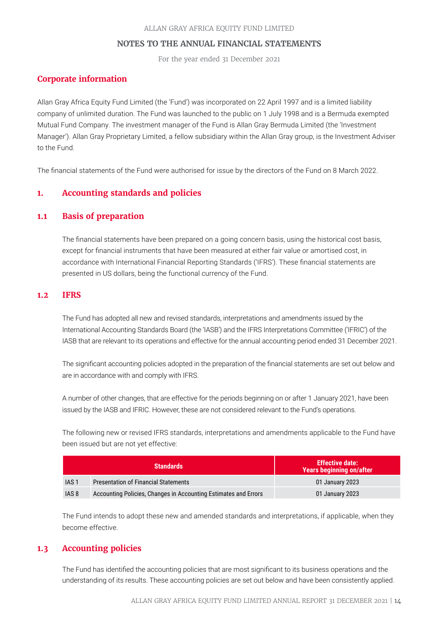For the year ended 31 December 2021

### **Corporate information**

Allan Gray Africa Equity Fund Limited (the 'Fund') was incorporated on 22 April 1997 and is a limited liability company of unlimited duration. The Fund was launched to the public on 1 July 1998 and is a Bermuda exempted Mutual Fund Company. The investment manager of the Fund is Allan Gray Bermuda Limited (the 'Investment Manager'). Allan Gray Proprietary Limited, a fellow subsidiary within the Allan Gray group, is the Investment Adviser to the Fund.

The financial statements of the Fund were authorised for issue by the directors of the Fund on 8 March 2022.

### **1. Accounting standards and policies**

### **1.1 Basis of preparation**

The financial statements have been prepared on a going concern basis, using the historical cost basis, except for financial instruments that have been measured at either fair value or amortised cost, in accordance with International Financial Reporting Standards ('IFRS'). These financial statements are presented in US dollars, being the functional currency of the Fund.

#### **1.2 IFRS**

The Fund has adopted all new and revised standards, interpretations and amendments issued by the International Accounting Standards Board (the 'IASB') and the IFRS Interpretations Committee ('IFRIC') of the IASB that are relevant to its operations and effective for the annual accounting period ended 31 December 2021.

The significant accounting policies adopted in the preparation of the financial statements are set out below and are in accordance with and comply with IFRS.

A number of other changes, that are effective for the periods beginning on or after 1 January 2021, have been issued by the IASB and IFRIC. However, these are not considered relevant to the Fund's operations.

The following new or revised IFRS standards, interpretations and amendments applicable to the Fund have been issued but are not yet effective:

|                  | <b>Standards</b>                                                | <b>Effective date:</b><br>Years beginning on/after |
|------------------|-----------------------------------------------------------------|----------------------------------------------------|
| IAS <sub>1</sub> | <b>Presentation of Financial Statements</b>                     | 01 January 2023                                    |
| IAS <sub>8</sub> | Accounting Policies, Changes in Accounting Estimates and Errors | 01 January 2023                                    |

The Fund intends to adopt these new and amended standards and interpretations, if applicable, when they become effective.

### **1.3 Accounting policies**

The Fund has identified the accounting policies that are most significant to its business operations and the understanding of its results. These accounting policies are set out below and have been consistently applied.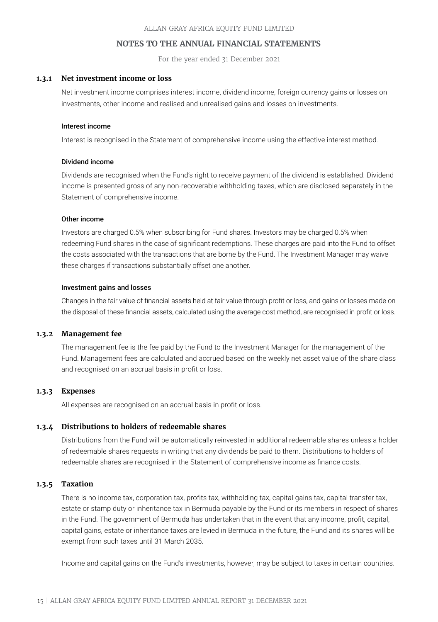For the year ended 31 December 2021

#### **1.3.1 Net investment income or loss**

Net investment income comprises interest income, dividend income, foreign currency gains or losses on investments, other income and realised and unrealised gains and losses on investments.

#### Interest income

Interest is recognised in the Statement of comprehensive income using the effective interest method.

#### Dividend income

Dividends are recognised when the Fund's right to receive payment of the dividend is established. Dividend income is presented gross of any non-recoverable withholding taxes, which are disclosed separately in the Statement of comprehensive income.

#### Other income

Investors are charged 0.5% when subscribing for Fund shares. Investors may be charged 0.5% when redeeming Fund shares in the case of significant redemptions. These charges are paid into the Fund to offset the costs associated with the transactions that are borne by the Fund. The Investment Manager may waive these charges if transactions substantially offset one another.

#### Investment gains and losses

Changes in the fair value of financial assets held at fair value through profit or loss, and gains or losses made on the disposal of these financial assets, calculated using the average cost method, are recognised in profit or loss.

#### **1.3.2 Management fee**

The management fee is the fee paid by the Fund to the Investment Manager for the management of the Fund. Management fees are calculated and accrued based on the weekly net asset value of the share class and recognised on an accrual basis in profit or loss.

#### **1.3.3 Expenses**

All expenses are recognised on an accrual basis in profit or loss.

#### **1.3.4 Distributions to holders of redeemable shares**

Distributions from the Fund will be automatically reinvested in additional redeemable shares unless a holder of redeemable shares requests in writing that any dividends be paid to them. Distributions to holders of redeemable shares are recognised in the Statement of comprehensive income as finance costs.

#### **1.3.5 Taxation**

There is no income tax, corporation tax, profits tax, withholding tax, capital gains tax, capital transfer tax, estate or stamp duty or inheritance tax in Bermuda payable by the Fund or its members in respect of shares in the Fund. The government of Bermuda has undertaken that in the event that any income, profit, capital, capital gains, estate or inheritance taxes are levied in Bermuda in the future, the Fund and its shares will be exempt from such taxes until 31 March 2035.

Income and capital gains on the Fund's investments, however, may be subject to taxes in certain countries.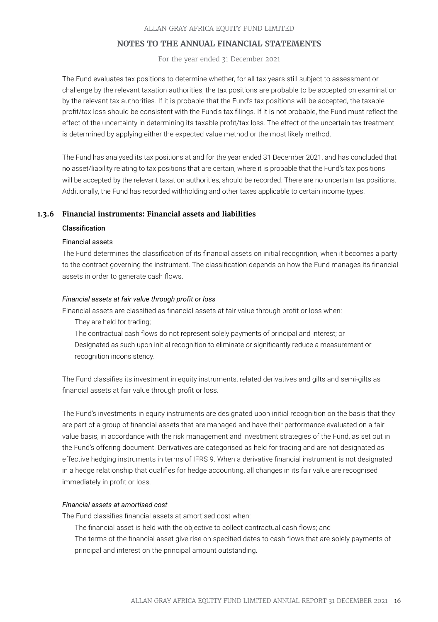For the year ended 31 December 2021

The Fund evaluates tax positions to determine whether, for all tax years still subject to assessment or challenge by the relevant taxation authorities, the tax positions are probable to be accepted on examination by the relevant tax authorities. If it is probable that the Fund's tax positions will be accepted, the taxable profit/tax loss should be consistent with the Fund's tax filings. If it is not probable, the Fund must reflect the effect of the uncertainty in determining its taxable profit/tax loss. The effect of the uncertain tax treatment is determined by applying either the expected value method or the most likely method.

The Fund has analysed its tax positions at and for the year ended 31 December 2021, and has concluded that no asset/liability relating to tax positions that are certain, where it is probable that the Fund's tax positions will be accepted by the relevant taxation authorities, should be recorded. There are no uncertain tax positions. Additionally, the Fund has recorded withholding and other taxes applicable to certain income types.

### **1.3.6 Financial instruments: Financial assets and liabilities**

#### Classification

#### Financial assets

The Fund determines the classification of its financial assets on initial recognition, when it becomes a party to the contract governing the instrument. The classification depends on how the Fund manages its financial assets in order to generate cash flows.

#### *Financial assets at fair value through profit or loss*

Financial assets are classified as financial assets at fair value through profit or loss when:

They are held for trading;

The contractual cash flows do not represent solely payments of principal and interest; or Designated as such upon initial recognition to eliminate or significantly reduce a measurement or recognition inconsistency.

The Fund classifies its investment in equity instruments, related derivatives and gilts and semi-gilts as financial assets at fair value through profit or loss.

The Fund's investments in equity instruments are designated upon initial recognition on the basis that they are part of a group of financial assets that are managed and have their performance evaluated on a fair value basis, in accordance with the risk management and investment strategies of the Fund, as set out in the Fund's offering document. Derivatives are categorised as held for trading and are not designated as effective hedging instruments in terms of IFRS 9. When a derivative financial instrument is not designated in a hedge relationship that qualifies for hedge accounting, all changes in its fair value are recognised immediately in profit or loss.

### *Financial assets at amortised cost*

The Fund classifies financial assets at amortised cost when:

The financial asset is held with the objective to collect contractual cash flows; and

The terms of the financial asset give rise on specified dates to cash flows that are solely payments of principal and interest on the principal amount outstanding.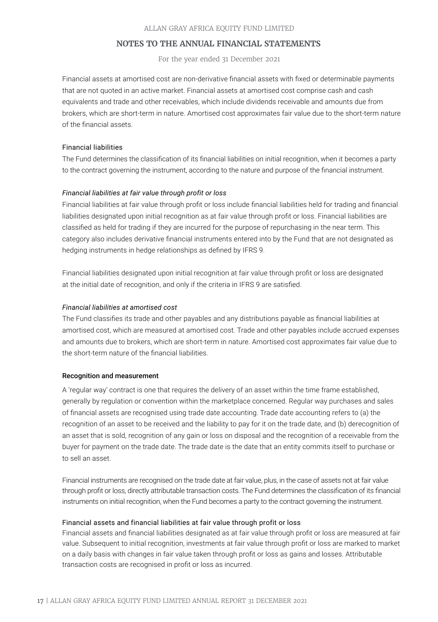For the year ended 31 December 2021

Financial assets at amortised cost are non-derivative financial assets with fixed or determinable payments that are not quoted in an active market. Financial assets at amortised cost comprise cash and cash equivalents and trade and other receivables, which include dividends receivable and amounts due from brokers, which are short-term in nature. Amortised cost approximates fair value due to the short-term nature of the financial assets.

#### Financial liabilities

The Fund determines the classification of its financial liabilities on initial recognition, when it becomes a party to the contract governing the instrument, according to the nature and purpose of the financial instrument.

#### *Financial liabilities at fair value through profit or loss*

Financial liabilities at fair value through profit or loss include financial liabilities held for trading and financial liabilities designated upon initial recognition as at fair value through profit or loss. Financial liabilities are classified as held for trading if they are incurred for the purpose of repurchasing in the near term. This category also includes derivative financial instruments entered into by the Fund that are not designated as hedging instruments in hedge relationships as defined by IFRS 9.

Financial liabilities designated upon initial recognition at fair value through profit or loss are designated at the initial date of recognition, and only if the criteria in IFRS 9 are satisfied.

#### *Financial liabilities at amortised cost*

The Fund classifies its trade and other payables and any distributions payable as financial liabilities at amortised cost, which are measured at amortised cost. Trade and other payables include accrued expenses and amounts due to brokers, which are short-term in nature. Amortised cost approximates fair value due to the short-term nature of the financial liabilities.

#### Recognition and measurement

A 'regular way' contract is one that requires the delivery of an asset within the time frame established, generally by regulation or convention within the marketplace concerned. Regular way purchases and sales of financial assets are recognised using trade date accounting. Trade date accounting refers to (a) the recognition of an asset to be received and the liability to pay for it on the trade date, and (b) derecognition of an asset that is sold, recognition of any gain or loss on disposal and the recognition of a receivable from the buyer for payment on the trade date. The trade date is the date that an entity commits itself to purchase or to sell an asset.

Financial instruments are recognised on the trade date at fair value, plus, in the case of assets not at fair value through profit or loss, directly attributable transaction costs. The Fund determines the classification of its financial instruments on initial recognition, when the Fund becomes a party to the contract governing the instrument.

#### Financial assets and financial liabilities at fair value through profit or loss

Financial assets and financial liabilities designated as at fair value through profit or loss are measured at fair value. Subsequent to initial recognition, investments at fair value through profit or loss are marked to market on a daily basis with changes in fair value taken through profit or loss as gains and losses. Attributable transaction costs are recognised in profit or loss as incurred.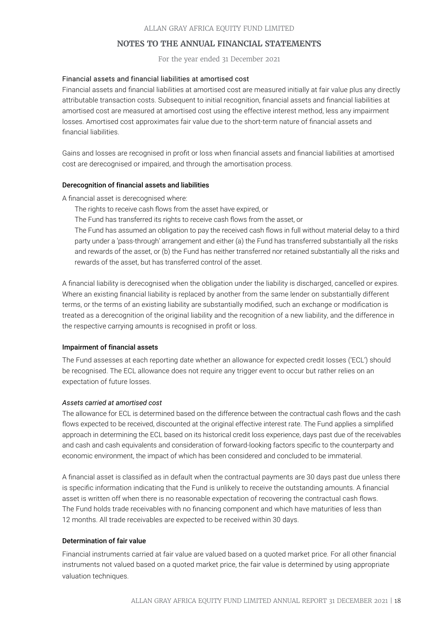For the year ended 31 December 2021

#### Financial assets and financial liabilities at amortised cost

Financial assets and financial liabilities at amortised cost are measured initially at fair value plus any directly attributable transaction costs. Subsequent to initial recognition, financial assets and financial liabilities at amortised cost are measured at amortised cost using the effective interest method, less any impairment losses. Amortised cost approximates fair value due to the short-term nature of financial assets and financialꢀliabilities.

Gains and losses are recognised in profit or loss when financial assets and financial liabilities at amortised cost are derecognised or impaired, and through the amortisation process.

#### Derecognition of financial assets and liabilities

A financial asset is derecognised where:

The rights to receive cash flows from the asset have expired, or

The Fund has transferred its rights to receive cash flows from the asset, or

The Fund has assumed an obligation to pay the received cash flows in full without material delay to a third party under a 'pass-through' arrangement and either (a) the Fund has transferred substantially all the risks and rewards of the asset, or (b) the Fund has neither transferred nor retained substantially all the risks and rewards of the asset, but has transferred control of the asset.

A financial liability is derecognised when the obligation under the liability is discharged, cancelled or expires. Where an existing financial liability is replaced by another from the same lender on substantially different terms, or the terms of an existing liability are substantially modified, such an exchange or modification is treated as a derecognition of the original liability and the recognition of a new liability, and the difference in the respective carrying amounts is recognised in profit or loss.

#### Impairment of financial assets

The Fund assesses at each reporting date whether an allowance for expected credit losses ('ECL') should be recognised. The ECL allowance does not require any trigger event to occur but rather relies on an expectation of future losses.

#### *Assets carried at amortised cost*

The allowance for ECL is determined based on the difference between the contractual cash flows and the cash flows expected to be received, discounted at the original effective interest rate. The Fund applies a simplified approach in determining the ECL based on its historical credit loss experience, days past due of the receivables and cash and cash equivalents and consideration of forward-looking factors specific to the counterparty and economic environment, the impact of which has been considered and concluded to be immaterial.

A financial asset is classified as in default when the contractual payments are 30 days past due unless there is specific information indicating that the Fund is unlikely to receive the outstanding amounts. A financial asset is written off when there is no reasonable expectation of recovering the contractual cash flows. The Fund holds trade receivables with no financing component and which have maturities of less than 12 months. All trade receivables are expected to be received within 30 days.

#### Determination of fair value

Financial instruments carried at fair value are valued based on a quoted market price. For all other financial instruments not valued based on a quoted market price, the fair value is determined by using appropriate valuation techniques.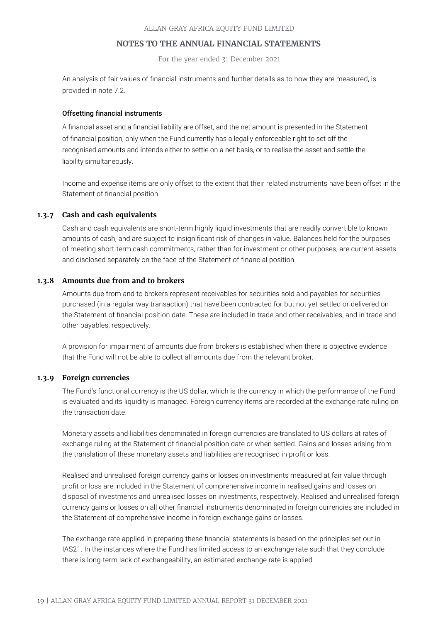For the year ended 31 December 2021

An analysis of fair values of financial instruments and further details as to how they are measured, is provided in note 7.2.

#### Offsetting financial instruments

A financial asset and a financial liability are offset, and the net amount is presented in the Statement of financial position, only when the Fund currently has a legally enforceable right to set off the recognised amounts and intends either to settle on a net basis, or to realise the asset and settle the liability simultaneously.

Income and expense items are only offset to the extent that their related instruments have been offset in the Statement of financial position.

#### **1.3.7 Cash and cash equivalents**

Cash and cash equivalents are short-term highly liquid investments that are readily convertible to known amounts of cash, and are subject to insignificant risk of changes in value. Balances held for the purposes of meeting short-term cash commitments, rather than for investment or other purposes, are current assets and disclosed separately on the face of the Statement of financial position.

#### **1.3.8 Amounts due from and to brokers**

Amounts due from and to brokers represent receivables for securities sold and payables for securities purchased (in a regular way transaction) that have been contracted for but not yet settled or delivered on the Statement of financial position date. These are included in trade and other receivables, and in trade and other payables, respectively.

A provision for impairment of amounts due from brokers is established when there is objective evidence that the Fund will not be able to collect all amounts due from the relevant broker.

#### **1.3.9 Foreign currencies**

The Fund's functional currency is the US dollar, which is the currency in which the performance of the Fund is evaluated and its liquidity is managed. Foreign currency items are recorded at the exchange rate ruling on the transaction date.

Monetary assets and liabilities denominated in foreign currencies are translated to US dollars at rates of exchange ruling at the Statement of financial position date or when settled. Gains and losses arising from the translation of these monetary assets and liabilities are recognised in profit or loss.

Realised and unrealised foreign currency gains or losses on investments measured at fair value through profit or loss are included in the Statement of comprehensive income in realised gains and losses on disposal of investments and unrealised losses on investments, respectively. Realised and unrealised foreign currency gains or losses on all other financial instruments denominated in foreign currencies are included in the Statement of comprehensive income in foreign exchange gains or losses.

The exchange rate applied in preparing these financial statements is based on the principles set out in IAS21. In the instances where the Fund has limited access to an exchange rate such that they conclude there is long-term lack of exchangeability, an estimated exchange rate is applied.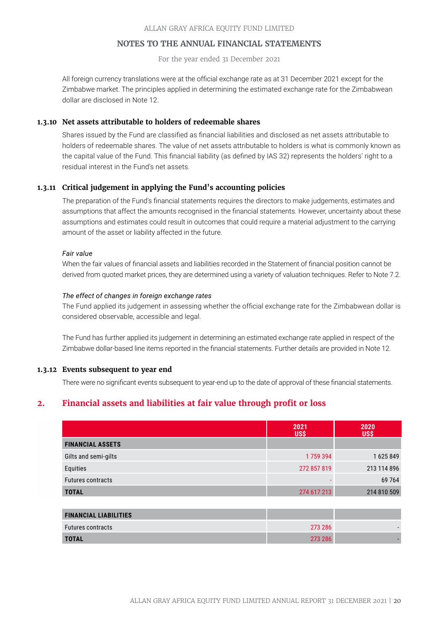For the year ended 31 December 2021

All foreign currency translations were at the official exchange rate as at 31 December 2021 except for the Zimbabwe market. The principles applied in determining the estimated exchange rate for the Zimbabwean dollar are disclosed in Note 12.

#### **1.3.10 Net assets attributable to holders of redeemable shares**

Shares issued by the Fund are classified as financial liabilities and disclosed as net assets attributable to holders of redeemable shares. The value of net assets attributable to holders is what is commonly known as the capital value of the Fund. This financial liability (as defined by IAS 32) represents the holders' right to a residual interest in the Fund's net assets.

#### **1.3.11 Critical judgement in applying the Fund's accounting policies**

The preparation of the Fund's financial statements requires the directors to make judgements, estimates and assumptions that affect the amounts recognised in the financial statements. However, uncertainty about these assumptions and estimates could result in outcomes that could require a material adjustment to the carrying amount of the asset or liability affected in the future.

#### *Fair value*

When the fair values of financial assets and liabilities recorded in the Statement of financial position cannot be derived from quoted market prices, they are determined using a variety of valuation techniques. Refer to Note 7.2.

#### *The effect of changes in foreign exchange rates*

The Fund applied its judgement in assessing whether the official exchange rate for the Zimbabwean dollar is considered observable, accessible and legal.

The Fund has further applied its judgement in determining an estimated exchange rate applied in respect of the Zimbabwe dollar-based line items reported in the financial statements. Further details are provided in Note 12.

#### **1.3.12 Events subsequent to year end**

There were no significant events subsequent to year-end up to the date of approval of these financial statements.

### **2. Financial assets and liabilities at fair value through profit or loss**

|                          | 2021<br><b>US\$</b> | 2020<br>US\$ |
|--------------------------|---------------------|--------------|
| <b>FINANCIAL ASSETS</b>  |                     |              |
| Gilts and semi-gilts     | 1759394             | 1625849      |
| Equities                 | 272 857 819         | 213 114 896  |
| <b>Futures contracts</b> |                     | 69 764       |
| <b>TOTAL</b>             | 274 617 213         | 214 810 509  |
|                          |                     |              |

| <b>FINANCIAL LIABILITIES</b> |         |  |
|------------------------------|---------|--|
| <b>Futures contracts</b>     | 273 286 |  |
| <b>TOTAL</b>                 | 273 286 |  |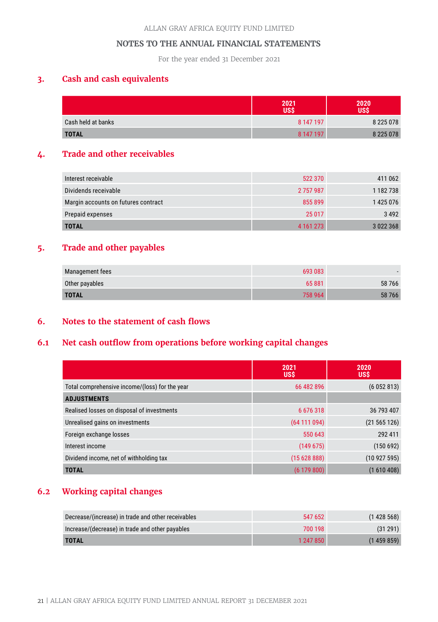For the year ended 31 December 2021

### **3. Cash and cash equivalents**

|                    | 2021<br><b>US\$</b> | 2020<br><b>USS</b> |
|--------------------|---------------------|--------------------|
| Cash held at banks | 8 147 197           | 8 2 2 5 0 7 8      |
| <b>TOTAL</b>       | 8 147 197           | 8 2 2 5 0 7 8      |

### **4. Trade and other receivables**

| Interest receivable                 | 522 370       | 411 062   |
|-------------------------------------|---------------|-----------|
| Dividends receivable                | 2757987       | 1 182 738 |
| Margin accounts on futures contract | 855 899       | 1425076   |
| Prepaid expenses                    | 25 017        | 3492      |
| <b>TOTAL</b>                        | 4 1 6 1 2 7 3 | 3 022 368 |

### **5. Trade and other payables**

| Management fees | 693 083 |       |
|-----------------|---------|-------|
| Other payables  | 65 881  | 58766 |
| <b>TOTAL</b>    | 758 964 | 58766 |

### **6. Notes to the statement of cash flows**

### **6.1 Net cash outflow from operations before working capital changes**

|                                                | 2021<br><b>US\$</b> | 2020<br><b>USS</b> |
|------------------------------------------------|---------------------|--------------------|
| Total comprehensive income/(loss) for the year | 66 482 896          | (6052813)          |
| <b>ADJUSTMENTS</b>                             |                     |                    |
| Realised losses on disposal of investments     | 6 676 318           | 36 793 407         |
| Unrealised gains on investments                | (64111094)          | (21 565 126)       |
| Foreign exchange losses                        | 550 643             | 292 411            |
| Interest income                                | (149675)            | (150692)           |
| Dividend income, net of withholding tax        | (1562888)           | (10927595)         |
| <b>TOTAL</b>                                   | (6179800)           | (1610408)          |

### **6.2 Working capital changes**

| Decrease/(increase) in trade and other receivables | 547 652   | (1428568) |
|----------------------------------------------------|-----------|-----------|
| Increase/(decrease) in trade and other payables    | 700 198   | (31291)   |
| <b>TOTAL</b>                                       | 1 247 850 | (1459859) |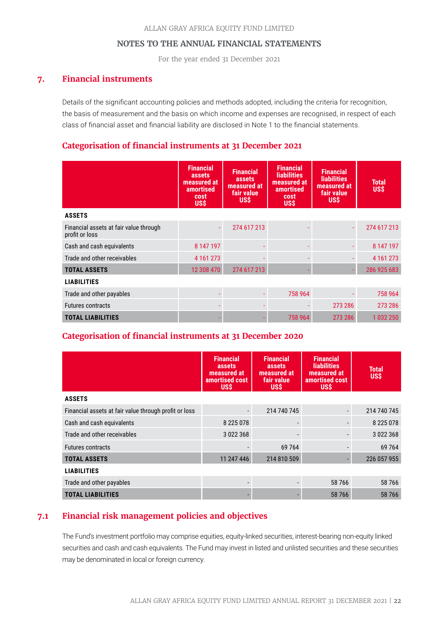For the year ended 31 December 2021

### **7. Financial instruments**

Details of the significant accounting policies and methods adopted, including the criteria for recognition, the basis of measurement and the basis on which income and expenses are recognised, in respect of each class of financial asset and financial liability are disclosed in Note 1 to the financial statements.

### **Categorisation of financial instruments at 31 December 2021**

|                                                          | <b>Financial</b><br>assets<br>measured at<br><i>amortised</i><br>cost<br><b>US\$</b> | <b>Financial</b><br><b>assets</b><br>measured at<br>fair value<br><b>USS</b> | <b>Financial</b><br><b>liabilities</b><br>measured at<br><i>amortised</i><br>cost<br><b>US\$</b> | <b>Financial</b><br><b>liabilities</b><br>measured at<br>fair value<br><b>US\$</b> | <b>Total</b><br><b>US\$</b> |
|----------------------------------------------------------|--------------------------------------------------------------------------------------|------------------------------------------------------------------------------|--------------------------------------------------------------------------------------------------|------------------------------------------------------------------------------------|-----------------------------|
| <b>ASSETS</b>                                            |                                                                                      |                                                                              |                                                                                                  |                                                                                    |                             |
| Financial assets at fair value through<br>profit or loss | ÷                                                                                    | 274 617 213                                                                  |                                                                                                  | ÷                                                                                  | 274 617 213                 |
| Cash and cash equivalents                                | 8 147 197                                                                            |                                                                              |                                                                                                  |                                                                                    | 8 147 197                   |
| Trade and other receivables                              | 4 1 6 1 2 7 3                                                                        |                                                                              |                                                                                                  |                                                                                    | 4 1 6 1 2 7 3               |
| <b>TOTAL ASSETS</b>                                      | 12 308 470                                                                           | 274 617 213                                                                  |                                                                                                  |                                                                                    | 286 925 683                 |
| <b>LIABILITIES</b>                                       |                                                                                      |                                                                              |                                                                                                  |                                                                                    |                             |
| Trade and other payables                                 |                                                                                      |                                                                              | 758 964                                                                                          |                                                                                    | 758 964                     |
| <b>Futures contracts</b>                                 |                                                                                      |                                                                              |                                                                                                  | 273 286                                                                            | 273 286                     |
| <b>TOTAL LIABILITIES</b>                                 |                                                                                      |                                                                              | 758 964                                                                                          | 273 286                                                                            | 1 032 250                   |

### **Categorisation of financial instruments at 31 December 2020**

|                                                       | <b>Financial</b><br>assets<br>measured at<br>amortised cost<br><b>USS</b> | <b>Financial</b><br>assets<br>measured at<br>fair value<br><b>USS</b> | <b>Financial</b><br><b>liabilities</b><br>measured at<br>amortised cost<br><b>US\$</b> | <b>Total</b><br><b>US\$</b> |
|-------------------------------------------------------|---------------------------------------------------------------------------|-----------------------------------------------------------------------|----------------------------------------------------------------------------------------|-----------------------------|
| <b>ASSETS</b>                                         |                                                                           |                                                                       |                                                                                        |                             |
| Financial assets at fair value through profit or loss |                                                                           | 214 740 745                                                           |                                                                                        | 214 740 745                 |
| Cash and cash equivalents                             | 8 2 2 5 0 7 8                                                             |                                                                       |                                                                                        | 8 2 2 5 0 7 8               |
| Trade and other receivables                           | 3 022 368                                                                 |                                                                       |                                                                                        | 3 0 2 2 3 6 8               |
| <b>Futures contracts</b>                              |                                                                           | 69 7 64                                                               |                                                                                        | 69 7 64                     |
| <b>TOTAL ASSETS</b>                                   | 11 247 446                                                                | 214 810 509                                                           |                                                                                        | 226 057 955                 |
| <b>LIABILITIES</b>                                    |                                                                           |                                                                       |                                                                                        |                             |
| Trade and other payables                              |                                                                           |                                                                       | 58766                                                                                  | 58766                       |
| <b>TOTAL LIABILITIES</b>                              |                                                                           |                                                                       | 58766                                                                                  | 58 766                      |

### **7.1 Financial risk management policies and objectives**

The Fund's investment portfolio may comprise equities, equity-linked securities, interest-bearing non-equity linked securities and cash and cash equivalents. The Fund may invest in listed and unlisted securities and these securities may be denominated in local or foreign currency.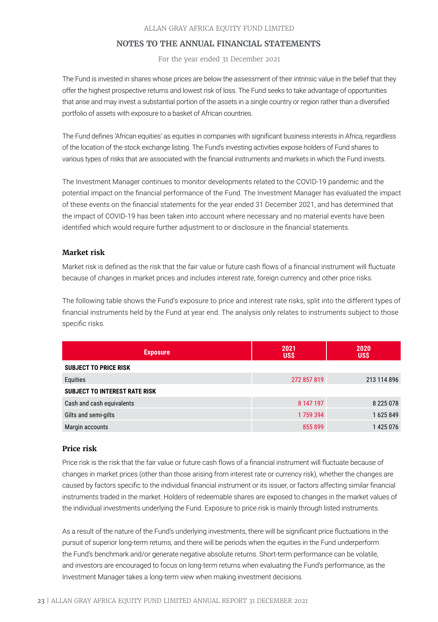For the year ended 31 December 2021

The Fund is invested in shares whose prices are below the assessment of their intrinsic value in the belief that they offer the highest prospective returns and lowest risk of loss. The Fund seeks to take advantage of opportunities that arise and may invest a substantial portion of the assets in a single country or region rather than a diversified portfolio of assets with exposure to a basket of African countries.

The Fund defines 'African equities' as equities in companies with significant business interests in Africa, regardless of the location of the stock exchange listing. The Fund's investing activities expose holders of Fund shares to various types of risks that are associated with the financial instruments and markets in which the Fund invests.

The Investment Manager continues to monitor developments related to the COVID-19 pandemic and the potential impact on the financial performance of the Fund. The Investment Manager has evaluated the impact of these events on the financial statements for the year ended 31 December 2021, and has determined that the impact of COVID-19 has been taken into account where necessary and no material events have been identified which would require further adjustment to or disclosure in the financial statements.

### **Market risk**

Market risk is defined as the risk that the fair value or future cash flows of a financial instrument will fluctuate because of changes in market prices and includes interest rate, foreign currency and other price risks.

The following table shows the Fund's exposure to price and interest rate risks, split into the different types of financial instruments held by the Fund at year end. The analysis only relates to instruments subject to those specific risks.

| <b>Exposure</b>                      | 2021<br>2020<br>US\$<br><b>US\$</b> |               |
|--------------------------------------|-------------------------------------|---------------|
| <b>SUBJECT TO PRICE RISK</b>         |                                     |               |
| Equities                             | 272 857 819                         | 213 114 896   |
| <b>SUBJECT TO INTEREST RATE RISK</b> |                                     |               |
| Cash and cash equivalents            | 8 147 197                           | 8 2 2 5 0 7 8 |
| Gilts and semi-gilts                 | 1759394                             | 1625849       |
| Margin accounts                      | 855 899                             | 1425076       |

#### **Price risk**

Price risk is the risk that the fair value or future cash flows of a financial instrument will fluctuate because of changes in market prices (other than those arising from interest rate or currency risk), whether the changes are caused by factors specific to the individual financial instrument or its issuer, or factors affecting similar financial instruments traded in the market. Holders of redeemable shares are exposed to changes in the market values of the individual investments underlying the Fund. Exposure to price risk is mainly through listed instruments.

As a result of the nature of the Fund's underlying investments, there will be significant price fluctuations in the pursuit of superior long-term returns, and there will be periods when the equities in the Fund underperform the Fund's benchmark and/or generate negative absolute returns. Short-term performance can be volatile, and investors are encouraged to focus on long-term returns when evaluating the Fund's performance, as the Investment Manager takes a long-term view when making investment decisions.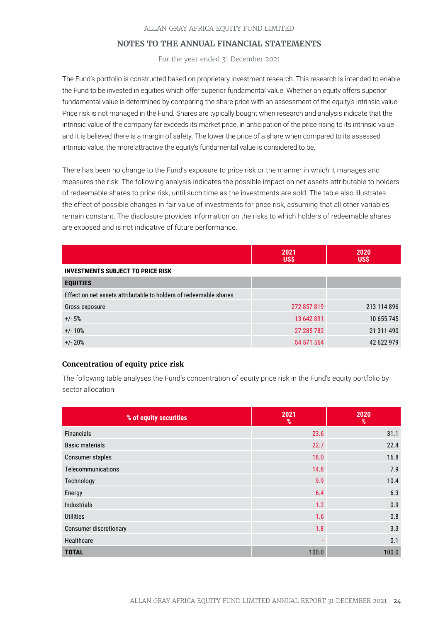For the year ended 31 December 2021

The Fund's portfolio is constructed based on proprietary investment research. This research is intended to enable the Fund to be invested in equities which offer superior fundamental value. Whether an equity offers superior fundamental value is determined by comparing the share price with an assessment of the equity's intrinsic value. Price risk is not managed in the Fund. Shares are typically bought when research and analysis indicate that the intrinsic value of the company far exceeds its market price, in anticipation of the price rising to its intrinsic value and it is believed there is a margin of safety. The lower the price of a share when compared to its assessed intrinsic value, the more attractive the equity's fundamental value is considered to be.

There has been no change to the Fund's exposure to price risk or the manner in which it manages and measures the risk. The following analysis indicates the possible impact on net assets attributable to holders of redeemable shares to price risk, until such time as the investments are sold. The table also illustrates the effect of possible changes in fair value of investments for price risk, assuming that all other variables remain constant. The disclosure provides information on the risks to which holders of redeemable shares are exposed and is not indicative of future performance.

|                                                                   | 2021<br>US\$ | 2020<br><b>USS</b> |
|-------------------------------------------------------------------|--------------|--------------------|
| <b>INVESTMENTS SUBJECT TO PRICE RISK</b>                          |              |                    |
| <b>EQUITIES</b>                                                   |              |                    |
| Effect on net assets attributable to holders of redeemable shares |              |                    |
| Gross exposure                                                    | 272 857 819  | 213 114 896        |
| $+/- 5%$                                                          | 13 642 891   | 10 655 745         |
| $+/- 10%$                                                         | 27 285 782   | 21 311 490         |
| $+/- 20%$                                                         | 54 571 564   | 42 622 979         |

#### **Concentration of equity price risk**

The following table analyses the Fund's concentration of equity price risk in the Fund's equity portfolio by sector allocation:

| % of equity securities        | 2021<br>% | 2020<br>% |
|-------------------------------|-----------|-----------|
| <b>Financials</b>             | 23.6      | 31.1      |
| <b>Basic materials</b>        | 22.7      | 22.4      |
| Consumer staples              | 18.0      | 16.8      |
| Telecommunications            | 14.8      | 7.9       |
| Technology                    | 9.9       | 10.4      |
| Energy                        | 6.4       | 6.3       |
| Industrials                   | 1.2       | 0.9       |
| <b>Utilities</b>              | 1.6       | 0.8       |
| <b>Consumer discretionary</b> | 1.8       | 3.3       |
| Healthcare                    |           | 0.1       |
| <b>TOTAL</b>                  | 100.0     | 100.0     |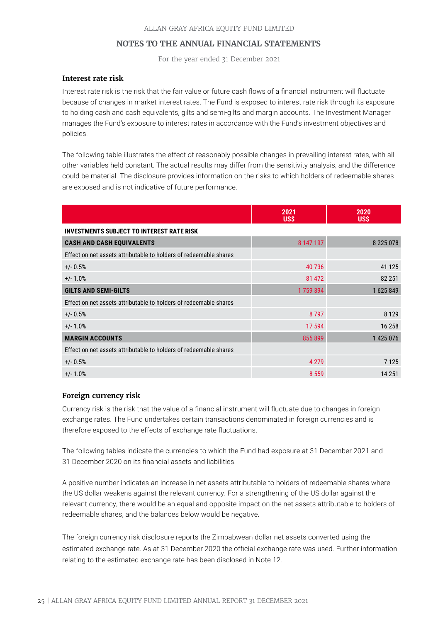For the year ended 31 December 2021

#### **Interest rate risk**

Interest rate risk is the risk that the fair value or future cash flows of a financial instrument will fluctuate because of changes in market interest rates. The Fund is exposed to interest rate risk through its exposure to holding cash and cash equivalents, gilts and semi-gilts and margin accounts. The Investment Manager manages the Fund's exposure to interest rates in accordance with the Fund's investment objectives and policies.

The following table illustrates the effect of reasonably possible changes in prevailing interest rates, with all other variables held constant. The actual results may differ from the sensitivity analysis, and the difference could be material. The disclosure provides information on the risks to which holders of redeemable shares are exposed and is not indicative of future performance.

|                                                                   | 2021<br><b>US\$</b> | 2020<br><b>US\$</b> |
|-------------------------------------------------------------------|---------------------|---------------------|
| <b>INVESTMENTS SUBJECT TO INTEREST RATE RISK</b>                  |                     |                     |
| <b>CASH AND CASH EQUIVALENTS</b>                                  | 8 147 197           | 8225078             |
| Effect on net assets attributable to holders of redeemable shares |                     |                     |
| $+/- 0.5%$                                                        | 40 736              | 41 1 25             |
| $+/- 1.0%$                                                        | 81 472              | 82 251              |
| <b>GILTS AND SEMI-GILTS</b>                                       | 1759394             | 1625849             |
| Effect on net assets attributable to holders of redeemable shares |                     |                     |
| $+/- 0.5%$                                                        | 8797                | 8 1 2 9             |
| $+/- 1.0%$                                                        | 17 594              | 16 258              |
| <b>MARGIN ACCOUNTS</b>                                            | 855 899             | 1 425 076           |
| Effect on net assets attributable to holders of redeemable shares |                     |                     |
| $+/- 0.5%$                                                        | 4 2 7 9             | 7125                |
| $+/- 1.0%$                                                        | 8 5 5 9             | 14 2 51             |

#### **Foreign currency risk**

Currency risk is the risk that the value of a financial instrument will fluctuate due to changes in foreign exchange rates. The Fund undertakes certain transactions denominated in foreign currencies and is therefore exposed to the effects of exchange rate fluctuations.

The following tables indicate the currencies to which the Fund had exposure at 31 December 2021 and 31 December 2020 on its financial assets and liabilities.

A positive number indicates an increase in net assets attributable to holders of redeemable shares where the US dollar weakens against the relevant currency. For a strengthening of the US dollar against the relevant currency, there would be an equal and opposite impact on the net assets attributable to holders of redeemable shares, and the balances below would be negative.

The foreign currency risk disclosure reports the Zimbabwean dollar net assets converted using the estimated exchange rate. As at 31 December 2020 the official exchange rate was used. Further information relating to the estimated exchange rate has been disclosed in Note 12.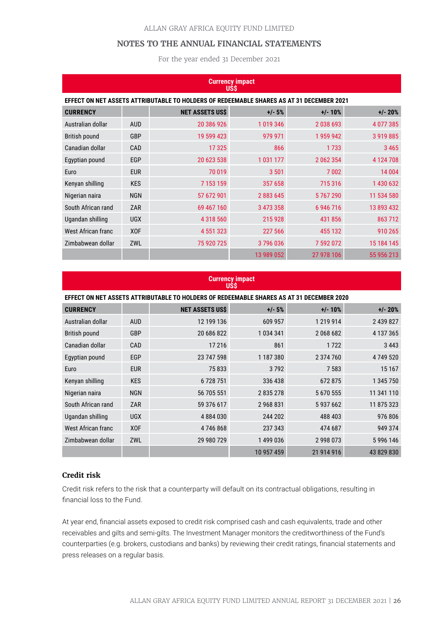For the year ended 31 December 2021

| <b>Currency impact</b><br><b>USS</b>                                                     |            |                        |             |            |               |
|------------------------------------------------------------------------------------------|------------|------------------------|-------------|------------|---------------|
| EFFECT ON NET ASSETS ATTRIBUTABLE TO HOLDERS OF REDEEMABLE SHARES AS AT 31 DECEMBER 2021 |            |                        |             |            |               |
| <b>CURRENCY</b>                                                                          |            | <b>NET ASSETS US\$</b> | $+/- 5%$    | $+/- 10%$  | $+/- 20%$     |
| Australian dollar                                                                        | <b>AUD</b> | 20 386 926             | 1 0 19 3 46 | 2038693    | 4 0 7 7 3 8 5 |
| British pound                                                                            | GBP        | 19 599 423             | 979 971     | 1959942    | 3 9 1 9 8 8 5 |
| Canadian dollar                                                                          | CAD        | 17325                  | 866         | 1 7 3 3    | 3465          |
| Egyptian pound                                                                           | EGP        | 20 623 538             | 1 031 177   | 2 062 354  | 4 124 708     |
| Euro                                                                                     | <b>EUR</b> | 70 019                 | 3 501       | 7002       | 14 004        |
| Kenyan shilling                                                                          | <b>KES</b> | 7 153 159              | 357 658     | 715316     | 1 430 632     |
| Nigerian naira                                                                           | <b>NGN</b> | 57 672 901             | 2883645     | 5767290    | 11 534 580    |
| South African rand                                                                       | ZAR        | 69 467 160             | 3 473 358   | 6946716    | 13 893 432    |
| Ugandan shilling                                                                         | <b>UGX</b> | 4 318 560              | 215928      | 431 856    | 863712        |
| West African franc                                                                       | <b>XOF</b> | 4 551 323              | 227 566     | 455 132    | 910 265       |
| Zimbabwean dollar                                                                        | <b>ZWL</b> | 75 920 725             | 3796036     | 7 592 072  | 15 184 145    |
|                                                                                          |            |                        | 13 989 052  | 27 978 106 | 55 956 213    |

#### **Currency impact US\$**

#### **EFFECT ON NET ASSETS ATTRIBUTABLE TO HOLDERS OF REDEEMABLE SHARES AS AT 31 DECEMBER 2020**

| <b>CURRENCY</b>      |            | <b>NET ASSETS USS</b> | $+/- 5%$      | $+/-10%$   | $+/- 20%$  |
|----------------------|------------|-----------------------|---------------|------------|------------|
| Australian dollar    | <b>AUD</b> | 12 199 136            | 609 957       | 1 219 914  | 2 439 827  |
| <b>British pound</b> | GBP        | 20 686 822            | 1 0 3 4 3 4 1 | 2 068 682  | 4 137 365  |
| Canadian dollar      | CAD        | 17 216                | 861           | 1722       | 3 4 4 3    |
| Egyptian pound       | <b>EGP</b> | 23 747 598            | 1187380       | 2 374 760  | 4749520    |
| Euro                 | <b>EUR</b> | 75833                 | 3792          | 7583       | 15 1 67    |
| Kenyan shilling      | <b>KES</b> | 6728751               | 336 438       | 672 875    | 1 345 750  |
| Nigerian naira       | <b>NGN</b> | 56 705 551            | 2835278       | 5 670 555  | 11 341 110 |
| South African rand   | ZAR        | 59 376 617            | 2968831       | 5937662    | 11 875 323 |
| Ugandan shilling     | <b>UGX</b> | 4884030               | 244 202       | 488 403    | 976 806    |
| West African franc   | <b>XOF</b> | 4746868               | 237 343       | 474 687    | 949 374    |
| Zimbabwean dollar    | <b>ZWL</b> | 29 980 729            | 1499036       | 2998073    | 5 996 146  |
|                      |            |                       | 10 957 459    | 21 914 916 | 43 829 830 |

#### **Credit risk**

Credit risk refers to the risk that a counterparty will default on its contractual obligations, resulting in financial loss to the Fund.

At year end, financial assets exposed to credit risk comprised cash and cash equivalents, trade and other receivables and gilts and semi-gilts. The Investment Manager monitors the creditworthiness of the Fund's counterparties (e.g. brokers, custodians and banks) by reviewing their credit ratings, financial statements and press releases on a regular basis.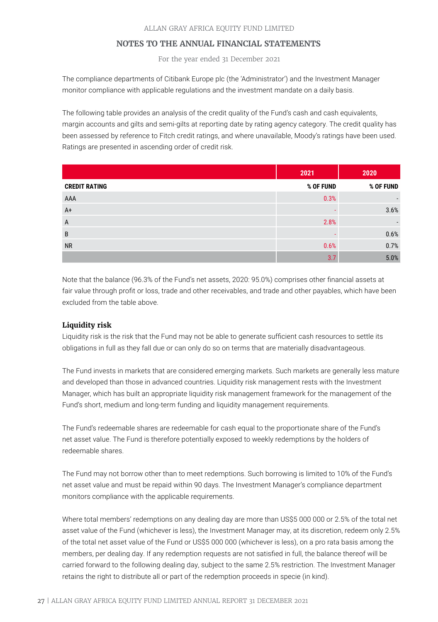For the year ended 31 December 2021

The compliance departments of Citibank Europe plc (the 'Administrator') and the Investment Manager monitor compliance with applicable regulations and the investment mandate on a daily basis.

The following table provides an analysis of the credit quality of the Fund's cash and cash equivalents, margin accounts and gilts and semi-gilts at reporting date by rating agency category. The credit quality has been assessed by reference to Fitch credit ratings, and where unavailable, Moody's ratings have been used. Ratings are presented in ascending order of credit risk.

|                      | 2021      | 2020                     |
|----------------------|-----------|--------------------------|
| <b>CREDIT RATING</b> | % OF FUND | % OF FUND                |
| AAA                  | 0.3%      | $\overline{\phantom{a}}$ |
| $A+$                 |           | 3.6%                     |
| $\overline{A}$       | 2.8%      |                          |
| $\mathsf{B}$         |           | 0.6%                     |
| <b>NR</b>            | 0.6%      | 0.7%                     |
|                      | 3.7       | 5.0%                     |

Note that the balance (96.3% of the Fund's net assets, 2020: 95.0%) comprises other financial assets at fair value through profit or loss, trade and other receivables, and trade and other payables, which have been excluded from the table above.

### **Liquidity risk**

Liquidity risk is the risk that the Fund may not be able to generate sufficient cash resources to settle its obligations in full as they fall due or can only do so on terms that are materially disadvantageous.

The Fund invests in markets that are considered emerging markets. Such markets are generally less mature and developed than those in advanced countries. Liquidity risk management rests with the Investment Manager, which has built an appropriate liquidity risk management framework for the management of the Fund's short, medium and long-term funding and liquidity management requirements.

The Fund's redeemable shares are redeemable for cash equal to the proportionate share of the Fund's net asset value. The Fund is therefore potentially exposed to weekly redemptions by the holders of redeemable shares.

The Fund may not borrow other than to meet redemptions. Such borrowing is limited to 10% of the Fund's net asset value and must be repaid within 90 days. The Investment Manager's compliance department monitors compliance with the applicable requirements.

Where total members' redemptions on any dealing day are more than US\$5 000 000 or 2.5% of the total net asset value of the Fund (whichever is less), the Investment Manager may, at its discretion, redeem only 2.5% of the total net asset value of the Fund or US\$5 000 000 (whichever is less), on a pro rata basis among the members, per dealing day. If any redemption requests are not satisfied in full, the balance thereof will be carried forward to the following dealing day, subject to the same 2.5% restriction. The Investment Manager retains the right to distribute all or part of the redemption proceeds in specie (in kind).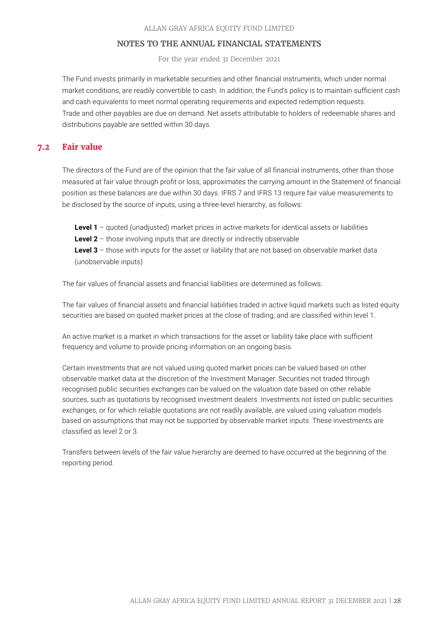For the year ended 31 December 2021

The Fund invests primarily in marketable securities and other financial instruments, which under normal market conditions, are readily convertible to cash. In addition, the Fund's policy is to maintain sufficient cash and cash equivalents to meet normal operating requirements and expected redemption requests. Trade and other payables are due on demand. Net assets attributable to holders of redeemable shares and distributions payable are settled within 30 days.

### **7.2 Fair value**

The directors of the Fund are of the opinion that the fair value of all financial instruments, other than those measured at fair value through profit or loss, approximates the carrying amount in the Statement of financial position as these balances are due within 30 days. IFRS 7 and IFRS 13 require fair value measurements to be disclosed by the source of inputs, using a three-level hierarchy, as follows:

**Level 1** – quoted (unadjusted) market prices in active markets for identical assets or liabilities

**Level 2** – those involving inputs that are directly or indirectly observable

**Level 3** – those with inputs for the asset or liability that are not based on observable market data (unobservable inputs)

The fair values of financial assets and financial liabilities are determined as follows:

The fair values of financial assets and financial liabilities traded in active liquid markets such as listed equity securities are based on quoted market prices at the close of trading, and are classified within level 1.

An active market is a market in which transactions for the asset or liability take place with sufficient frequency and volume to provide pricing information on an ongoing basis.

Certain investments that are not valued using quoted market prices can be valued based on other observable market data at the discretion of the Investment Manager. Securities not traded through recognised public securities exchanges can be valued on the valuation date based on other reliable sources, such as quotations by recognised investment dealers. Investments not listed on public securities exchanges, or for which reliable quotations are not readily available, are valued using valuation models based on assumptions that may not be supported by observable market inputs. These investments are classified as level 2 or 3.

Transfers between levels of the fair value hierarchy are deemed to have occurred at the beginning of the reporting period.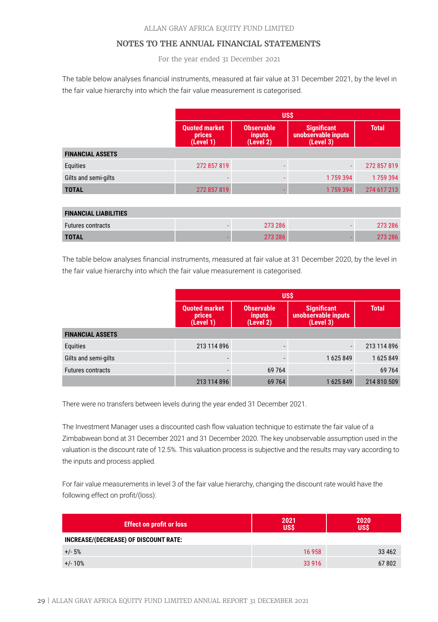For the year ended 31 December 2021

The table below analyses financial instruments, measured at fair value at 31 December 2021, by the level in the fair value hierarchy into which the fair value measurement is categorised.

|                         | <b>US\$</b>                                 |                                                 |                                                 |              |  |
|-------------------------|---------------------------------------------|-------------------------------------------------|-------------------------------------------------|--------------|--|
|                         | <b>Quoted market</b><br>prices<br>(Level 1) | <b>Observable</b><br><i>inputs</i><br>(Level 2) | Significant<br>unobservable inputs<br>(Level 3) | <b>Total</b> |  |
| <b>FINANCIAL ASSETS</b> |                                             |                                                 |                                                 |              |  |
| Equities                | 272 857 819                                 |                                                 |                                                 | 272 857 819  |  |
| Gilts and semi-gilts    |                                             |                                                 | 1759394                                         | 1759394      |  |
| <b>TOTAL</b>            | 272 857 819                                 |                                                 | 1759394                                         | 274 617 213  |  |

| <b>FINANCIAL LIABILITIES</b> |  |         |  |         |  |
|------------------------------|--|---------|--|---------|--|
| <b>Futures contracts</b>     |  | 273 286 |  | 273 286 |  |
| <b>TOTAL</b>                 |  | 273 286 |  |         |  |

The table below analyses financial instruments, measured at fair value at 31 December 2020, by the level in the fair value hierarchy into which the fair value measurement is categorised.

|                          | US\$                                        |                                                 |                                                        |              |  |
|--------------------------|---------------------------------------------|-------------------------------------------------|--------------------------------------------------------|--------------|--|
|                          | <b>Quoted market</b><br>prices<br>(Level 1) | <b>Observable</b><br><i>inputs</i><br>(Level 2) | <b>Significant</b><br>unobservable inputs<br>(Level 3) | <b>Total</b> |  |
| <b>FINANCIAL ASSETS</b>  |                                             |                                                 |                                                        |              |  |
| Equities                 | 213 114 896                                 |                                                 |                                                        | 213 114 896  |  |
| Gilts and semi-gilts     |                                             |                                                 | 1625849                                                | 1625849      |  |
| <b>Futures contracts</b> |                                             | 69 7 64                                         |                                                        | 69 7 64      |  |
|                          | 213 114 896                                 | 69 7 64                                         | 1625849                                                | 214 810 509  |  |

There were no transfers between levels during the year ended 31 December 2021.

The Investment Manager uses a discounted cash flow valuation technique to estimate the fair value of a Zimbabwean bond at 31 December 2021 and 31 December 2020. The key unobservable assumption used in the valuation is the discount rate of 12.5%. This valuation process is subjective and the results may vary according to the inputs and process applied.

For fair value measurements in level 3 of the fair value hierarchy, changing the discount rate would have the following effect on profit/(loss):

| <b>Effect on profit or loss</b>       | 2021<br>US\$ | 2020<br><b>US\$</b> |
|---------------------------------------|--------------|---------------------|
| INCREASE/(DECREASE) OF DISCOUNT RATE: |              |                     |
| $+/- 5%$                              | 16 958       | 33 4 62             |
| $+/- 10%$                             | 33 9 16      | 67802               |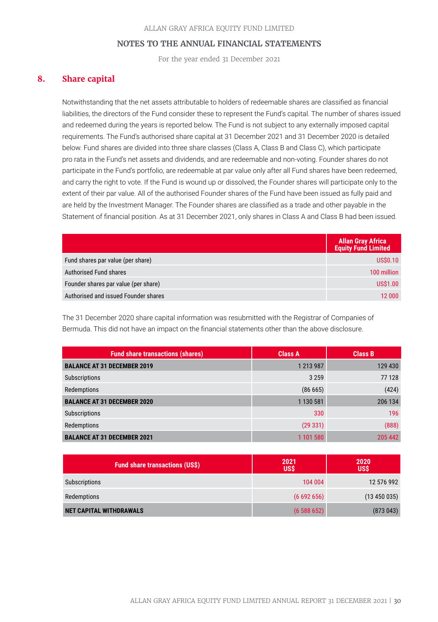For the year ended 31 December 2021

### **8. Share capital**

Notwithstanding that the net assets attributable to holders of redeemable shares are classified as financial liabilities, the directors of the Fund consider these to represent the Fund's capital. The number of shares issued and redeemed during the years is reported below. The Fund is not subject to any externally imposed capital requirements. The Fund's authorised share capital at 31 December 2021 and 31 December 2020 is detailed below. Fund shares are divided into three share classes (Class A, Class B and Class C), which participate pro rata in the Fund's net assets and dividends, and are redeemable and non-voting. Founder shares do not participate in the Fund's portfolio, are redeemable at par value only after all Fund shares have been redeemed, and carry the right to vote. If the Fund is wound up or dissolved, the Founder shares will participate only to the extent of their par value. All of the authorised Founder shares of the Fund have been issued as fully paid and are held by the Investment Manager. The Founder shares are classified as a trade and other payable in the Statement of financial position. As at 31 December 2021, only shares in Class A and Class B had been issued.

|                                      | <b>Allan Gray Africa</b><br><b>Equity Fund Limited</b> |
|--------------------------------------|--------------------------------------------------------|
| Fund shares par value (per share)    | <b>US\$0.10</b>                                        |
| <b>Authorised Fund shares</b>        | 100 million                                            |
| Founder shares par value (per share) | <b>US\$1.00</b>                                        |
| Authorised and issued Founder shares | 12 000                                                 |

The 31 December 2020 share capital information was resubmitted with the Registrar of Companies of Bermuda. This did not have an impact on the financial statements other than the above disclosure.

| <b>Fund share transactions (shares)</b> | <b>Class A</b> | <b>Class B</b> |
|-----------------------------------------|----------------|----------------|
| <b>BALANCE AT 31 DECEMBER 2019</b>      | 1 213 987      | 129 430        |
| Subscriptions                           | 3 2 5 9        | 77 128         |
| Redemptions                             | (86665)        | (424)          |
| <b>BALANCE AT 31 DECEMBER 2020</b>      | 1 130 581      | 206 134        |
| Subscriptions                           | 330            | 196            |
| Redemptions                             | (29331)        | (888)          |
| <b>BALANCE AT 31 DECEMBER 2021</b>      | 1 101 580      | 205 442        |

| <b>Fund share transactions (US\$)</b> | 2021<br>US\$ | 2020<br>US\$ |
|---------------------------------------|--------------|--------------|
| Subscriptions                         | 104 004      | 12 576 992   |
| Redemptions                           | (6692656)    | (13 450 035) |
| <b>NET CAPITAL WITHDRAWALS</b>        | (6588652)    | (873043)     |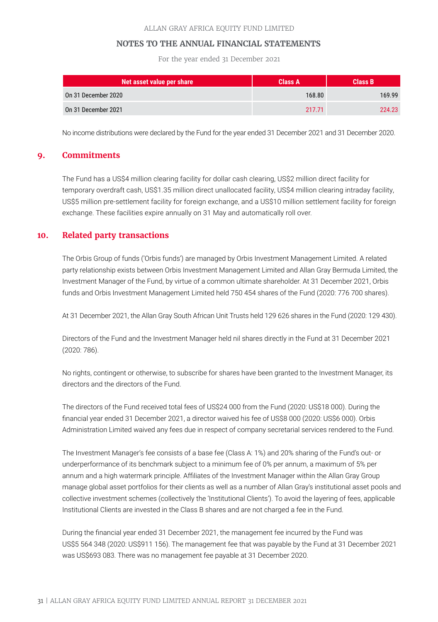For the year ended 31 December 2021

| Net asset value per share | <b>Class A</b> | Class B |
|---------------------------|----------------|---------|
| On 31 December 2020       | 168.80         | 169.99  |
| On 31 December 2021       | 217.71         | 224.23  |

No income distributions were declared by the Fund for the year ended 31 December 2021 and 31 December 2020.

### **9. Commitments**

The Fund has a US\$4 million clearing facility for dollar cash clearing, US\$2 million direct facility for temporary overdraft cash, US\$1.35 million direct unallocated facility, US\$4 million clearing intraday facility, US\$5 million pre-settlement facility for foreign exchange, and a US\$10 million settlement facility for foreign exchange. These facilities expire annually on 31 May and automatically roll over.

### **10. Related party transactions**

The Orbis Group of funds ('Orbis funds') are managed by Orbis Investment Management Limited. A related party relationship exists between Orbis Investment Management Limited and Allan Gray Bermuda Limited, the Investment Manager of the Fund, by virtue of a common ultimate shareholder. At 31 December 2021, Orbis funds and Orbis Investment Management Limited held 750 454 shares of the Fund (2020: 776 700 shares).

At 31 December 2021, the Allan Gray South African Unit Trusts held 129 626 shares in the Fund (2020: 129 430).

Directors of the Fund and the Investment Manager held nil shares directly in the Fund at 31 December 2021 (2020: 786).

No rights, contingent or otherwise, to subscribe for shares have been granted to the Investment Manager, its directors and the directors of the Fund.

The directors of the Fund received total fees of US\$24 000 from the Fund (2020: US\$18 000). During the financial year ended 31 December 2021, a director waived his fee of US\$8 000 (2020: US\$6 000). Orbis Administration Limited waived any fees due in respect of company secretarial services rendered to the Fund.

The Investment Manager's fee consists of a base fee (Class A: 1%) and 20% sharing of the Fund's out- or underperformance of its benchmark subject to a minimum fee of 0% per annum, a maximum of 5% per annum and a high watermark principle. Affiliates of the Investment Manager within the Allan Gray Group manage global asset portfolios for their clients as well as a number of Allan Gray's institutional asset pools and collective investment schemes (collectively the 'Institutional Clients'). To avoid the layering of fees, applicable Institutional Clients are invested in the Class B shares and are not charged a fee in the Fund.

During the financial year ended 31 December 2021, the management fee incurred by the Fund was US\$5 564 348 (2020: US\$911 156). The management fee that was payable by the Fund at 31 December 2021 was US\$693 083. There was no management fee payable at 31 December 2020.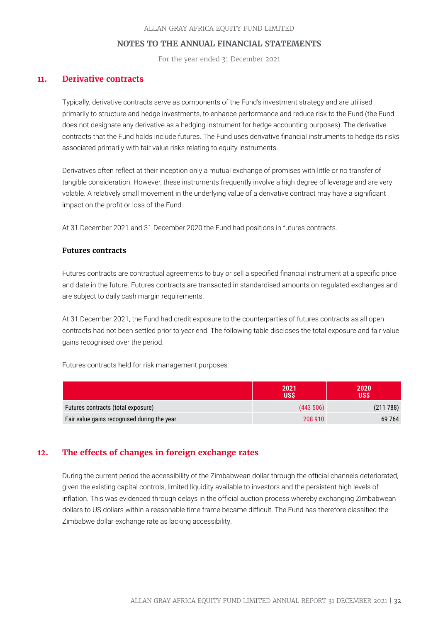For the year ended 31 December 2021

### **11. Derivative contracts**

Typically, derivative contracts serve as components of the Fund's investment strategy and are utilised primarily to structure and hedge investments, to enhance performance and reduce risk to the Fund (the Fund does not designate any derivative as a hedging instrument for hedge accounting purposes). The derivative contracts that the Fund holds include futures. The Fund uses derivative financial instruments to hedge its risks associated primarily with fair value risks relating to equity instruments.

Derivatives often reflect at their inception only a mutual exchange of promises with little or no transfer of tangible consideration. However, these instruments frequently involve a high degree of leverage and are very volatile. A relatively small movement in the underlying value of a derivative contract may have a significant impact on the profit or loss of the Fund.

At 31 December 2021 and 31 December 2020 the Fund had positions in futures contracts.

#### **Futures contracts**

Futures contracts are contractual agreements to buy or sell a specified financial instrument at a specific price and date in the future. Futures contracts are transacted in standardised amounts on regulated exchanges and are subject to daily cash margin requirements.

At 31 December 2021, the Fund had credit exposure to the counterparties of futures contracts as all open contracts had not been settled prior to year end. The following table discloses the total exposure and fair value gains recognised over the period.

Futures contracts held for risk management purposes:

|                                             | 2021<br>USŚ | 2020<br><b>USS</b> |
|---------------------------------------------|-------------|--------------------|
| Futures contracts (total exposure)          | (443, 506)  | (211788)           |
| Fair value gains recognised during the year | 208 910     | 69 7 64            |

### **12. The effects of changes in foreign exchange rates**

During the current period the accessibility of the Zimbabwean dollar through the official channels deteriorated, given the existing capital controls, limited liquidity available to investors and the persistent high levels of inflation. This was evidenced through delays in the official auction process whereby exchanging Zimbabwean dollars to US dollars within a reasonable time frame became difficult. The Fund has therefore classified the Zimbabwe dollar exchange rate as lacking accessibility.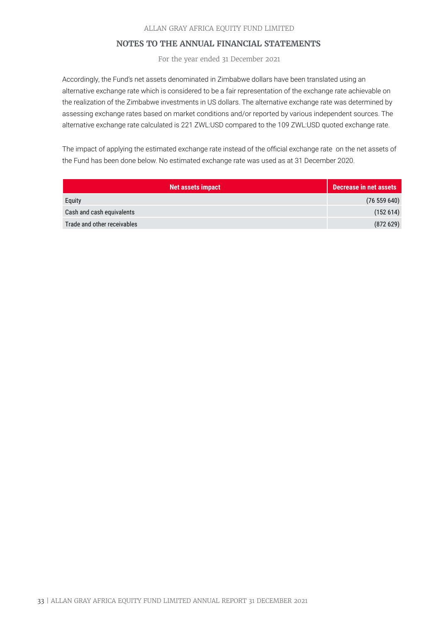For the year ended 31 December 2021

Accordingly, the Fund's net assets denominated in Zimbabwe dollars have been translated using an alternative exchange rate which is considered to be a fair representation of the exchange rate achievable on the realization of the Zimbabwe investments in US dollars. The alternative exchange rate was determined by assessing exchange rates based on market conditions and/or reported by various independent sources. The alternative exchange rate calculated is 221 ZWL:USD compared to the 109 ZWL:USD quoted exchange rate.

The impact of applying the estimated exchange rate instead of the official exchange rate on the net assets of the Fund has been done below. No estimated exchange rate was used as at 31 December 2020.

| <b>Net assets impact</b>    | Decrease in net assets |
|-----------------------------|------------------------|
| Equity                      | (76 559 640)           |
| Cash and cash equivalents   | (152614)               |
| Trade and other receivables | (872629)               |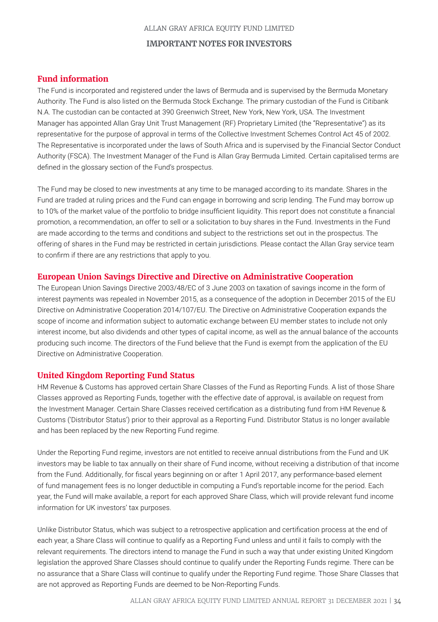## ALLAN GRAY AFRICA EQUITY FUND LIMITED **IMPORTANT NOTES FOR INVESTORS**

### **Fund information**

The Fund is incorporated and registered under the laws of Bermuda and is supervised by the Bermuda Monetary Authority. The Fund is also listed on the Bermuda Stock Exchange. The primary custodian of the Fund is Citibank N.A. The custodian can be contacted at 390 Greenwich Street, New York, New York, USA. The Investment Manager has appointed Allan Gray Unit Trust Management (RF) Proprietary Limited (the "Representative") as its representative for the purpose of approval in terms of the Collective Investment Schemes Control Act 45 of 2002. The Representative is incorporated under the laws of South Africa and is supervised by the Financial Sector Conduct Authority (FSCA). The Investment Manager of the Fund is Allan Gray Bermuda Limited. Certain capitalised terms are defined in the glossary section of the Fund's prospectus.

The Fund may be closed to new investments at any time to be managed according to its mandate. Shares in the Fund are traded at ruling prices and the Fund can engage in borrowing and scrip lending. The Fund may borrow up to 10% of the market value of the portfolio to bridge insufficient liquidity. This report does not constitute a financial promotion, a recommendation, an offer to sell or a solicitation to buy shares in the Fund. Investments in the Fund are made according to the terms and conditions and subject to the restrictions set out in the prospectus. The offering of shares in the Fund may be restricted in certain jurisdictions. Please contact the Allan Gray service team to confirm if there are any restrictions that apply to you.

### **European Union Savings Directive and Directive on Administrative Cooperation**

The European Union Savings Directive 2003/48/EC of 3 June 2003 on taxation of savings income in the form of interest payments was repealed in November 2015, as a consequence of the adoption in December 2015 of the EU Directive on Administrative Cooperation 2014/107/EU. The Directive on Administrative Cooperation expands the scope of income and information subject to automatic exchange between EU member states to include not only interest income, but also dividends and other types of capital income, as well as the annual balance of the accounts producing such income. The directors of the Fund believe that the Fund is exempt from the application of the EU Directive on Administrative Cooperation.

### **United Kingdom Reporting Fund Status**

HM Revenue & Customs has approved certain Share Classes of the Fund as Reporting Funds. A list of those Share Classes approved as Reporting Funds, together with the effective date of approval, is available on request from the Investment Manager. Certain Share Classes received certification as a distributing fund from HM Revenue & Customs ('Distributor Status') prior to their approval as a Reporting Fund. Distributor Status is no longer available and has been replaced by the new Reporting Fund regime.

Under the Reporting Fund regime, investors are not entitled to receive annual distributions from the Fund and UK investors may be liable to tax annually on their share of Fund income, without receiving a distribution of that income from the Fund. Additionally, for fiscal years beginning on or after 1 April 2017, any performance-based element of fund management fees is no longer deductible in computing a Fund's reportable income for the period. Each year, the Fund will make available, a report for each approved Share Class, which will provide relevant fund income information for UK investors' tax purposes.

Unlike Distributor Status, which was subject to a retrospective application and certification process at the end of each year, a Share Class will continue to qualify as a Reporting Fund unless and until it fails to comply with the relevant requirements. The directors intend to manage the Fund in such a way that under existing United Kingdom legislation the approved Share Classes should continue to qualify under the Reporting Funds regime. There can be no assurance that a Share Class will continue to qualify under the Reporting Fund regime. Those Share Classes that are not approved as Reporting Funds are deemed to be Non-Reporting Funds.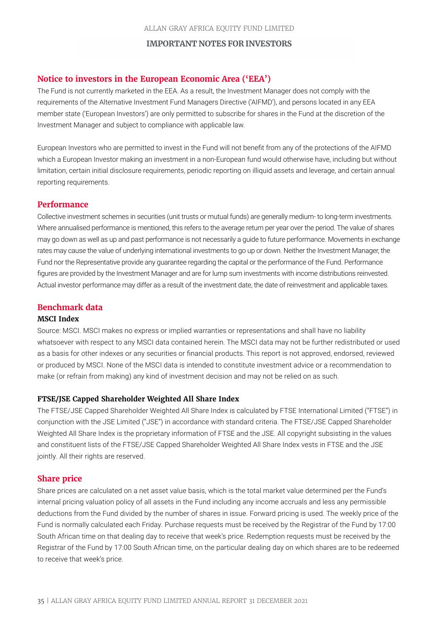#### **IMPORTANT NOTES FOR INVESTORS IMPORTANT NOTES FOR INVESTORS**

#### **Notice to investors in the European Economic Area ('EEA')**

The Fund is not currently marketed in the EEA. As a result, the Investment Manager does not comply with the requirements of the Alternative Investment Fund Managers Directive ('AIFMD'), and persons located in any EEA member state ('European Investors') are only permitted to subscribe for shares in the Fund at the discretion of the Investment Manager and subject to compliance with applicable law.

European Investors who are permitted to invest in the Fund will not benefit from any of the protections of the AIFMD which a European Investor making an investment in a non-European fund would otherwise have, including but without limitation, certain initial disclosure requirements, periodic reporting on illiquid assets and leverage, and certain annual reporting requirements.

### **Performance**

Collective investment schemes in securities (unit trusts or mutual funds) are generally medium- to long-term investments. Where annualised performance is mentioned, this refers to the average return per year over the period. The value of shares may go down as well as up and past performance is not necessarily a guide to future performance. Movements in exchange rates may cause the value of underlying international investments to go up or down. Neither the Investment Manager, the Fund nor the Representative provide any guarantee regarding the capital or the performance of the Fund. Performance figures are provided by the Investment Manager and are for lump sum investments with income distributions reinvested. Actual investor performance may differ as a result of the investment date, the date of reinvestment and applicable taxes.

#### **Benchmark data**

#### **MSCI Index**

Source: MSCI. MSCI makes no express or implied warranties or representations and shall have no liability whatsoever with respect to any MSCI data contained herein. The MSCI data may not be further redistributed or used as a basis for other indexes or any securities or financial products. This report is not approved, endorsed, reviewed or produced by MSCI. None of the MSCI data is intended to constitute investment advice or a recommendation to make (or refrain from making) any kind of investment decision and may not be relied on as such.

#### **FTSE/JSE Capped Shareholder Weighted All Share Index**

The FTSE/JSE Capped Shareholder Weighted All Share Index is calculated by FTSE International Limited ("FTSE") in conjunction with the JSE Limited ("JSE") in accordance with standard criteria. The FTSE/JSE Capped Shareholder Weighted All Share Index is the proprietary information of FTSE and the JSE. All copyright subsisting in the values and constituent lists of the FTSE/JSE Capped Shareholder Weighted All Share Index vests in FTSE and the JSE jointly. All their rights are reserved.

#### **Share price**

Share prices are calculated on a net asset value basis, which is the total market value determined per the Fund's internal pricing valuation policy of all assets in the Fund including any income accruals and less any permissible deductions from the Fund divided by the number of shares in issue. Forward pricing is used. The weekly price of the Fund is normally calculated each Friday. Purchase requests must be received by the Registrar of the Fund by 17:00 South African time on that dealing day to receive that week's price. Redemption requests must be received by the Registrar of the Fund by 17:00 South African time, on the particular dealing day on which shares are to be redeemed to receive that week's price.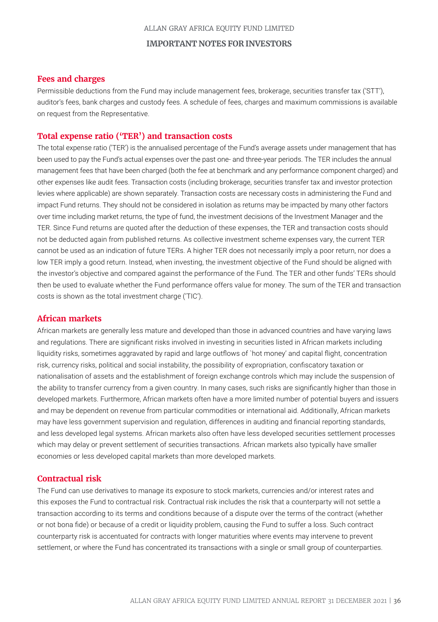### ALLAN GRAY AFRICA EQUITY FUND LIMITED

#### **IMPORTANT NOTES FOR INVESTORS**

#### **Fees and charges**

Permissible deductions from the Fund may include management fees, brokerage, securities transfer tax ('STT'), auditor's fees, bank charges and custody fees. A schedule of fees, charges and maximum commissions is available on request from the Representative.

### **Total expense ratio ('TER') and transaction costs**

The total expense ratio ('TER') is the annualised percentage of the Fund's average assets under management that has been used to pay the Fund's actual expenses over the past one- and three-year periods. The TER includes the annual management fees that have been charged (both the fee at benchmark and any performance component charged) and other expenses like audit fees. Transaction costs (including brokerage, securities transfer tax and investor protection levies where applicable) are shown separately. Transaction costs are necessary costs in administering the Fund and impact Fund returns. They should not be considered in isolation as returns may be impacted by many other factors over time including market returns, the type of fund, the investment decisions of the Investment Manager and the TER. Since Fund returns are quoted after the deduction of these expenses, the TER and transaction costs should not be deducted again from published returns. As collective investment scheme expenses vary, the current TER cannot be used as an indication of future TERs. A higher TER does not necessarily imply a poor return, nor does a low TER imply a good return. Instead, when investing, the investment objective of the Fund should be aligned with the investor's objective and compared against the performance of the Fund. The TER and other funds' TERs should then be used to evaluate whether the Fund performance offers value for money. The sum of the TER and transaction costs is shown as the total investment charge ('TIC').

### **African markets**

African markets are generally less mature and developed than those in advanced countries and have varying laws and regulations. There are significant risks involved in investing in securities listed in African markets including liquidity risks, sometimes aggravated by rapid and large outflows of `hot money' and capital flight, concentration risk, currency risks, political and social instability, the possibility of expropriation, confiscatory taxation or nationalisation of assets and the establishment of foreign exchange controls which may include the suspension of the ability to transfer currency from a given country. In many cases, such risks are significantly higher than those in developed markets. Furthermore, African markets often have a more limited number of potential buyers and issuers and may be dependent on revenue from particular commodities or international aid. Additionally, African markets may have less government supervision and regulation, differences in auditing and financial reporting standards, and less developed legal systems. African markets also often have less developed securities settlement processes which may delay or prevent settlement of securities transactions. African markets also typically have smaller economies or less developed capital markets than more developed markets.

#### **Contractual risk**

The Fund can use derivatives to manage its exposure to stock markets, currencies and/or interest rates and this exposes the Fund to contractual risk. Contractual risk includes the risk that a counterparty will not settle a transaction according to its terms and conditions because of a dispute over the terms of the contract (whether or not bona fide) or because of a credit or liquidity problem, causing the Fund to suffer a loss. Such contract counterparty risk is accentuated for contracts with longer maturities where events may intervene to prevent settlement, or where the Fund has concentrated its transactions with a single or small group of counterparties.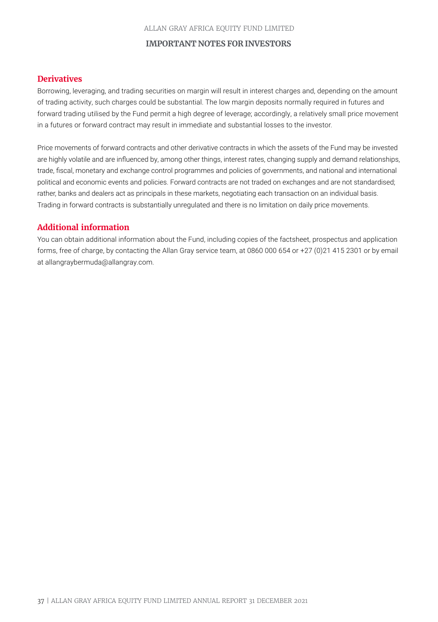### **IMPORTANT NOTES FOR INVESTORS**

### **Derivatives**

Borrowing, leveraging, and trading securities on margin will result in interest charges and, depending on the amount of trading activity, such charges could be substantial. The low margin deposits normally required in futures and forward trading utilised by the Fund permit a high degree of leverage; accordingly, a relatively small price movement in a futures or forward contract may result in immediate and substantial losses to the investor.

Price movements of forward contracts and other derivative contracts in which the assets of the Fund may be invested are highly volatile and are influenced by, among other things, interest rates, changing supply and demand relationships, trade, fiscal, monetary and exchange control programmes and policies of governments, and national and international political and economic events and policies. Forward contracts are not traded on exchanges and are not standardised; rather, banks and dealers act as principals in these markets, negotiating each transaction on an individual basis. Trading in forward contracts is substantially unregulated and there is no limitation on daily price movements.

### **Additional information**

You can obtain additional information about the Fund, including copies of the factsheet, prospectus and application forms, free of charge, by contacting the Allan Gray service team, at 0860 000 654 or +27 (0)21 415 2301 or by email at allangraybermuda@allangray.com.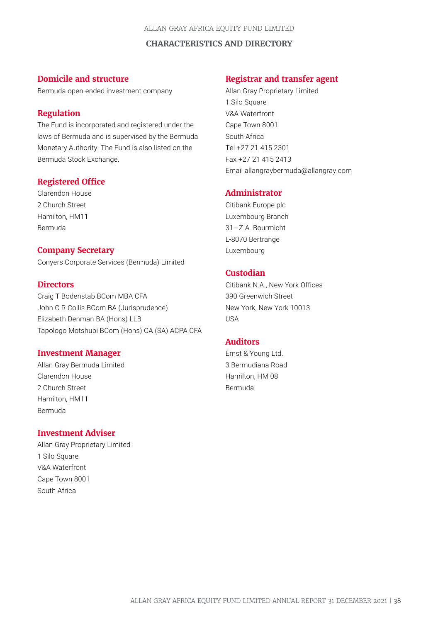#### ALLAN GRAY AFRICA EQUITY FUND LIMITED

#### **CHARACTERISTICS AND DIRECTORY**

### **Domicile and structure**

Bermuda open-ended investment company

### **Regulation**

The Fund is incorporated and registered under the laws of Bermuda and is supervised by the Bermuda Monetary Authority. The Fund is also listed on the Bermuda Stock Exchange.

### **Registered Office**

Clarendon House 2 Church Street Hamilton, HM11 Bermuda

### **Company Secretary**

Conyers Corporate Services (Bermuda) Limited

#### **Directors**

Craig T Bodenstab BCom MBA CFA John C R Collis BCom BA (Jurisprudence) Elizabeth Denman BA (Hons) LLB Tapologo Motshubi BCom (Hons) CA (SA) ACPA CFA

#### **Investment Manager**

Allan Gray Bermuda Limited Clarendon House 2 Church Street Hamilton, HM11 Bermuda

### **Investment Adviser**

Allan Gray Proprietary Limited 1 Silo Square V&A Waterfront Cape Town 8001 South Africa

#### **Registrar and transfer agent**

Allan Gray Proprietary Limited 1 Silo Square V&A Waterfront Cape Town 8001 South Africa Tel +27 21 415 2301 Fax +27 21 415 2413 Email allangraybermuda@allangray.com

### **Administrator**

Citibank Europe plc Luxembourg Branch 31 - Z.A. Bourmicht L-8070 Bertrange Luxembourg

### **Custodian**

Citibank N.A., New York Offices 390 Greenwich Street New York, New York 10013 USA

### **Auditors**

Ernst & Young Ltd. 3 Bermudiana Road Hamilton, HM 08 Bermuda